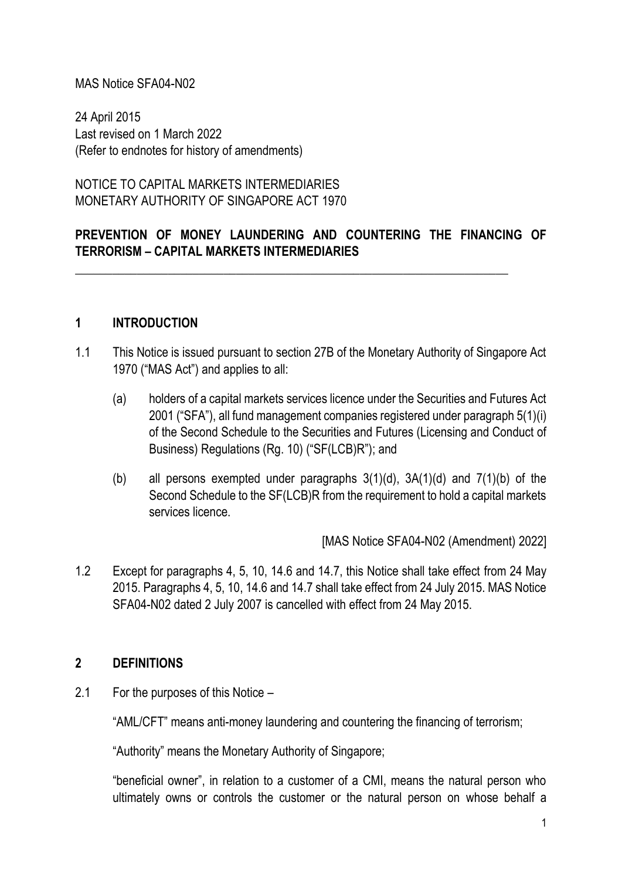### MAS Notice SFA04-N02

24 April 2015 Last revised on 1 March 2022 (Refer to endnotes for history of amendments)

NOTICE TO CAPITAL MARKETS INTERMEDIARIES MONETARY AUTHORITY OF SINGAPORE ACT 1970

# **PREVENTION OF MONEY LAUNDERING AND COUNTERING THE FINANCING OF TERRORISM – CAPITAL MARKETS INTERMEDIARIES**

\_\_\_\_\_\_\_\_\_\_\_\_\_\_\_\_\_\_\_\_\_\_\_\_\_\_\_\_\_\_\_\_\_\_\_\_\_\_\_\_\_\_\_\_\_\_\_\_\_\_\_\_\_\_\_\_\_\_\_\_\_\_\_\_\_\_\_\_\_\_

#### **1 INTRODUCTION**

- 1.1 This Notice is issued pursuant to section 27B of the Monetary Authority of Singapore Act 1970 ("MAS Act") and applies to all:
	- (a) holders of a capital markets services licence under the Securities and Futures Act 2001 ("SFA"), all fund management companies registered under paragraph 5(1)(i) of the Second Schedule to the Securities and Futures (Licensing and Conduct of Business) Regulations (Rg. 10) ("SF(LCB)R"); and
	- (b) all persons exempted under paragraphs  $3(1)(d)$ ,  $3A(1)(d)$  and  $7(1)(b)$  of the Second Schedule to the SF(LCB)R from the requirement to hold a capital markets services licence.

[MAS Notice SFA04-N02 (Amendment) 2022]

1.2 Except for paragraphs 4, 5, 10, 14.6 and 14.7, this Notice shall take effect from 24 May 2015. Paragraphs 4, 5, 10, 14.6 and 14.7 shall take effect from 24 July 2015. MAS Notice SFA04-N02 dated 2 July 2007 is cancelled with effect from 24 May 2015.

### **2 DEFINITIONS**

2.1 For the purposes of this Notice –

"AML/CFT" means anti-money laundering and countering the financing of terrorism;

"Authority" means the Monetary Authority of Singapore;

"beneficial owner", in relation to a customer of a CMI, means the natural person who ultimately owns or controls the customer or the natural person on whose behalf a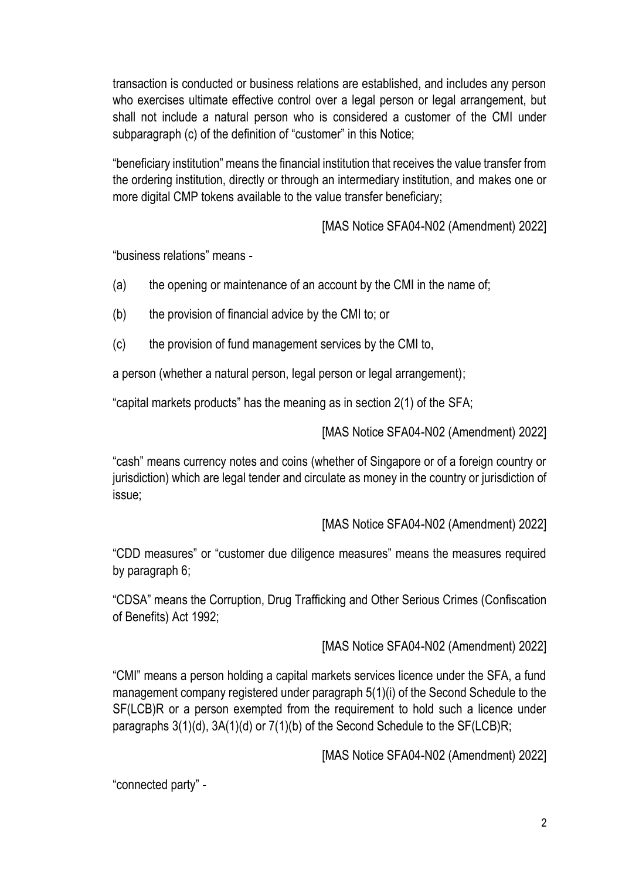transaction is conducted or business relations are established, and includes any person who exercises ultimate effective control over a legal person or legal arrangement, but shall not include a natural person who is considered a customer of the CMI under subparagraph (c) of the definition of "customer" in this Notice;

"beneficiary institution" means the financial institution that receives the value transfer from the ordering institution, directly or through an intermediary institution, and makes one or more digital CMP tokens available to the value transfer beneficiary;

[MAS Notice SFA04-N02 (Amendment) 2022]

"business relations" means -

- (a) the opening or maintenance of an account by the CMI in the name of;
- (b) the provision of financial advice by the CMI to; or
- (c) the provision of fund management services by the CMI to,

a person (whether a natural person, legal person or legal arrangement);

"capital markets products" has the meaning as in section 2(1) of the SFA;

[MAS Notice SFA04-N02 (Amendment) 2022]

"cash" means currency notes and coins (whether of Singapore or of a foreign country or jurisdiction) which are legal tender and circulate as money in the country or jurisdiction of issue;

[MAS Notice SFA04-N02 (Amendment) 2022]

"CDD measures" or "customer due diligence measures" means the measures required by paragraph 6;

"CDSA" means the Corruption, Drug Trafficking and Other Serious Crimes (Confiscation of Benefits) Act 1992;

[MAS Notice SFA04-N02 (Amendment) 2022]

"CMI" means a person holding a capital markets services licence under the SFA, a fund management company registered under paragraph 5(1)(i) of the Second Schedule to the SF(LCB)R or a person exempted from the requirement to hold such a licence under paragraphs 3(1)(d), 3A(1)(d) or 7(1)(b) of the Second Schedule to the SF(LCB)R;

[MAS Notice SFA04-N02 (Amendment) 2022]

"connected party" -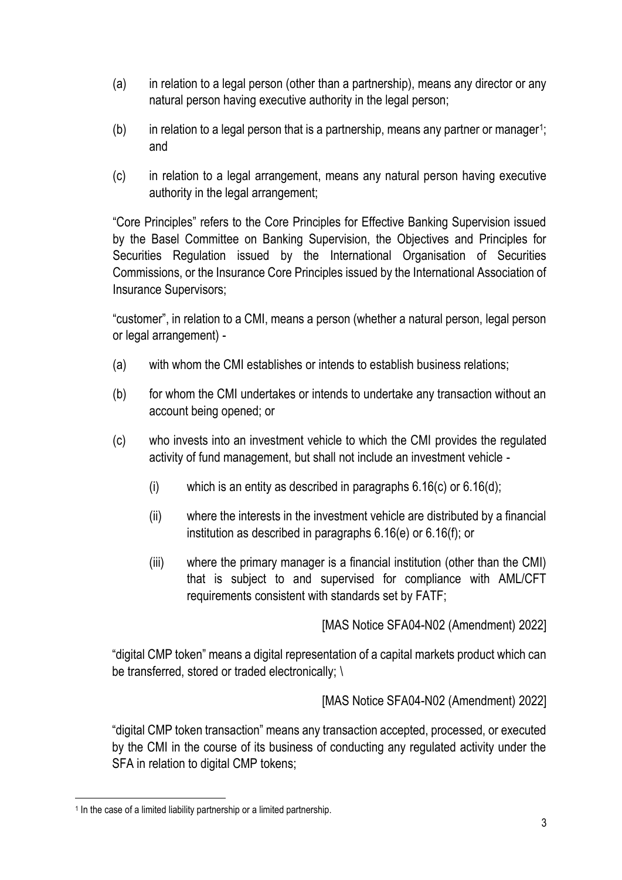- (a) in relation to a legal person (other than a partnership), means any director or any natural person having executive authority in the legal person;
- $(b)$  in relation to a legal person that is a partnership, means any partner or manager<sup>1</sup>; and
- (c) in relation to a legal arrangement, means any natural person having executive authority in the legal arrangement;

"Core Principles" refers to the Core Principles for Effective Banking Supervision issued by the Basel Committee on Banking Supervision, the Objectives and Principles for Securities Regulation issued by the International Organisation of Securities Commissions, or the Insurance Core Principles issued by the International Association of Insurance Supervisors;

"customer", in relation to a CMI, means a person (whether a natural person, legal person or legal arrangement) -

- (a) with whom the CMI establishes or intends to establish business relations;
- (b) for whom the CMI undertakes or intends to undertake any transaction without an account being opened; or
- (c) who invests into an investment vehicle to which the CMI provides the regulated activity of fund management, but shall not include an investment vehicle -
	- (i) which is an entity as described in paragraphs  $6.16(c)$  or  $6.16(d)$ ;
	- (ii) where the interests in the investment vehicle are distributed by a financial institution as described in paragraphs 6.16(e) or 6.16(f); or
	- (iii) where the primary manager is a financial institution (other than the CMI) that is subject to and supervised for compliance with AML/CFT requirements consistent with standards set by FATF;

[MAS Notice SFA04-N02 (Amendment) 2022]

"digital CMP token" means a digital representation of a capital markets product which can be transferred, stored or traded electronically; \

[MAS Notice SFA04-N02 (Amendment) 2022]

"digital CMP token transaction" means any transaction accepted, processed, or executed by the CMI in the course of its business of conducting any regulated activity under the SFA in relation to digital CMP tokens;

<sup>&</sup>lt;sup>1</sup> In the case of a limited liability partnership or a limited partnership.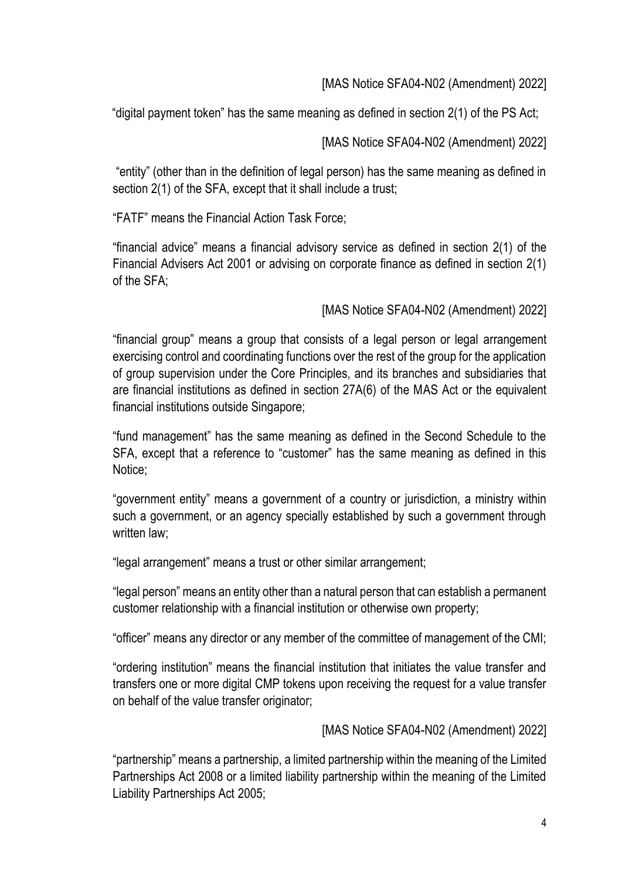"digital payment token" has the same meaning as defined in section 2(1) of the PS Act;

[MAS Notice SFA04-N02 (Amendment) 2022]

"entity" (other than in the definition of legal person) has the same meaning as defined in section 2(1) of the SFA, except that it shall include a trust;

"FATF" means the Financial Action Task Force;

"financial advice" means a financial advisory service as defined in section 2(1) of the Financial Advisers Act 2001 or advising on corporate finance as defined in section 2(1) of the SFA;

[MAS Notice SFA04-N02 (Amendment) 2022]

"financial group" means a group that consists of a legal person or legal arrangement exercising control and coordinating functions over the rest of the group for the application of group supervision under the Core Principles, and its branches and subsidiaries that are financial institutions as defined in section 27A(6) of the MAS Act or the equivalent financial institutions outside Singapore;

"fund management" has the same meaning as defined in the Second Schedule to the SFA, except that a reference to "customer" has the same meaning as defined in this Notice;

"government entity" means a government of a country or jurisdiction, a ministry within such a government, or an agency specially established by such a government through written law:

"legal arrangement" means a trust or other similar arrangement;

"legal person" means an entity other than a natural person that can establish a permanent customer relationship with a financial institution or otherwise own property;

"officer" means any director or any member of the committee of management of the CMI;

"ordering institution" means the financial institution that initiates the value transfer and transfers one or more digital CMP tokens upon receiving the request for a value transfer on behalf of the value transfer originator;

[MAS Notice SFA04-N02 (Amendment) 2022]

"partnership" means a partnership, a limited partnership within the meaning of the Limited Partnerships Act 2008 or a limited liability partnership within the meaning of the Limited Liability Partnerships Act 2005;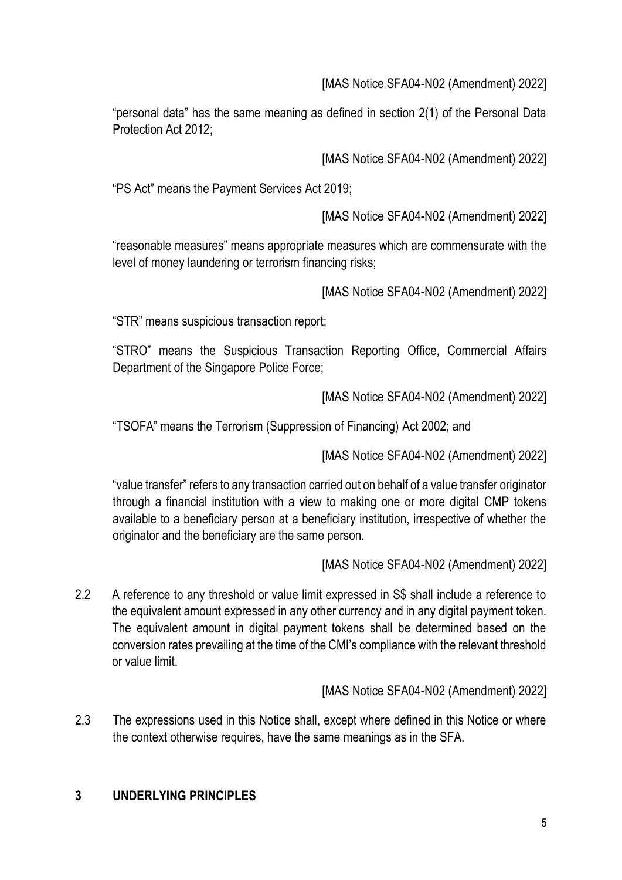"personal data" has the same meaning as defined in section 2(1) of the Personal Data Protection Act 2012;

[MAS Notice SFA04-N02 (Amendment) 2022]

"PS Act" means the Payment Services Act 2019;

[MAS Notice SFA04-N02 (Amendment) 2022]

"reasonable measures" means appropriate measures which are commensurate with the level of money laundering or terrorism financing risks;

[MAS Notice SFA04-N02 (Amendment) 2022]

"STR" means suspicious transaction report;

"STRO" means the Suspicious Transaction Reporting Office, Commercial Affairs Department of the Singapore Police Force;

[MAS Notice SFA04-N02 (Amendment) 2022]

"TSOFA" means the Terrorism (Suppression of Financing) Act 2002; and

[MAS Notice SFA04-N02 (Amendment) 2022]

"value transfer" refers to any transaction carried out on behalf of a value transfer originator through a financial institution with a view to making one or more digital CMP tokens available to a beneficiary person at a beneficiary institution, irrespective of whether the originator and the beneficiary are the same person.

[MAS Notice SFA04-N02 (Amendment) 2022]

2.2 A reference to any threshold or value limit expressed in S\$ shall include a reference to the equivalent amount expressed in any other currency and in any digital payment token. The equivalent amount in digital payment tokens shall be determined based on the conversion rates prevailing at the time of the CMI's compliance with the relevant threshold or value limit.

[MAS Notice SFA04-N02 (Amendment) 2022]

2.3 The expressions used in this Notice shall, except where defined in this Notice or where the context otherwise requires, have the same meanings as in the SFA.

# **3 UNDERLYING PRINCIPLES**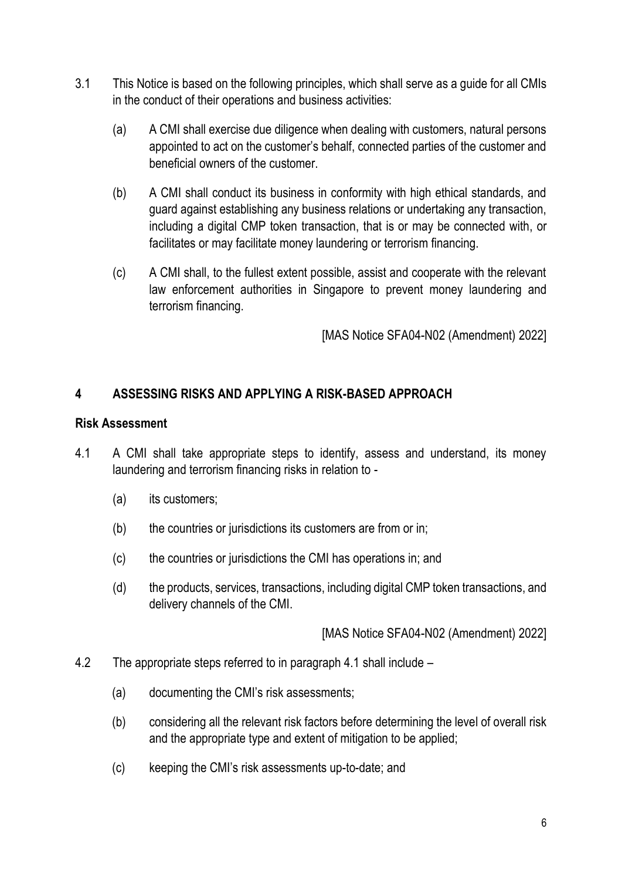- 3.1 This Notice is based on the following principles, which shall serve as a guide for all CMIs in the conduct of their operations and business activities:
	- (a) A CMI shall exercise due diligence when dealing with customers, natural persons appointed to act on the customer's behalf, connected parties of the customer and beneficial owners of the customer.
	- (b) A CMI shall conduct its business in conformity with high ethical standards, and guard against establishing any business relations or undertaking any transaction, including a digital CMP token transaction, that is or may be connected with, or facilitates or may facilitate money laundering or terrorism financing.
	- (c) A CMI shall, to the fullest extent possible, assist and cooperate with the relevant law enforcement authorities in Singapore to prevent money laundering and terrorism financing.

## **4 ASSESSING RISKS AND APPLYING A RISK-BASED APPROACH**

#### **Risk Assessment**

- 4.1 A CMI shall take appropriate steps to identify, assess and understand, its money laundering and terrorism financing risks in relation to -
	- (a) its customers;
	- (b) the countries or jurisdictions its customers are from or in;
	- (c) the countries or jurisdictions the CMI has operations in; and
	- (d) the products, services, transactions, including digital CMP token transactions, and delivery channels of the CMI.

- 4.2 The appropriate steps referred to in paragraph 4.1 shall include
	- (a) documenting the CMI's risk assessments;
	- (b) considering all the relevant risk factors before determining the level of overall risk and the appropriate type and extent of mitigation to be applied;
	- (c) keeping the CMI's risk assessments up-to-date; and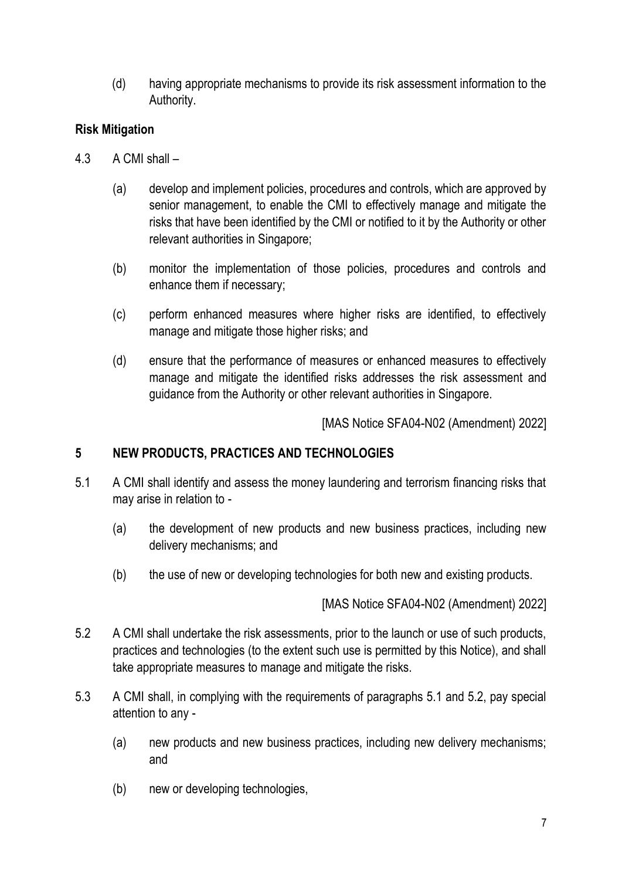(d) having appropriate mechanisms to provide its risk assessment information to the Authority.

# **Risk Mitigation**

- 4.3 A CMI shall
	- (a) develop and implement policies, procedures and controls, which are approved by senior management, to enable the CMI to effectively manage and mitigate the risks that have been identified by the CMI or notified to it by the Authority or other relevant authorities in Singapore;
	- (b) monitor the implementation of those policies, procedures and controls and enhance them if necessary;
	- (c) perform enhanced measures where higher risks are identified, to effectively manage and mitigate those higher risks; and
	- (d) ensure that the performance of measures or enhanced measures to effectively manage and mitigate the identified risks addresses the risk assessment and guidance from the Authority or other relevant authorities in Singapore.

[MAS Notice SFA04-N02 (Amendment) 2022]

## **5 NEW PRODUCTS, PRACTICES AND TECHNOLOGIES**

- 5.1 A CMI shall identify and assess the money laundering and terrorism financing risks that may arise in relation to -
	- (a) the development of new products and new business practices, including new delivery mechanisms; and
	- (b) the use of new or developing technologies for both new and existing products.

- 5.2 A CMI shall undertake the risk assessments, prior to the launch or use of such products, practices and technologies (to the extent such use is permitted by this Notice), and shall take appropriate measures to manage and mitigate the risks.
- 5.3 A CMI shall, in complying with the requirements of paragraphs 5.1 and 5.2, pay special attention to any -
	- (a) new products and new business practices, including new delivery mechanisms; and
	- (b) new or developing technologies,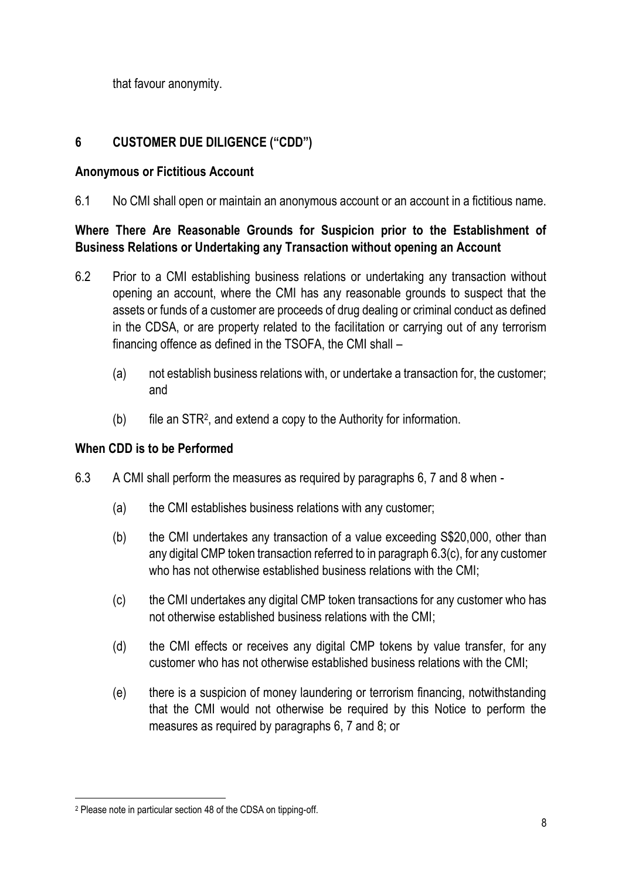that favour anonymity.

# **6 CUSTOMER DUE DILIGENCE ("CDD")**

### **Anonymous or Fictitious Account**

6.1 No CMI shall open or maintain an anonymous account or an account in a fictitious name.

## **Where There Are Reasonable Grounds for Suspicion prior to the Establishment of Business Relations or Undertaking any Transaction without opening an Account**

- 6.2 Prior to a CMI establishing business relations or undertaking any transaction without opening an account, where the CMI has any reasonable grounds to suspect that the assets or funds of a customer are proceeds of drug dealing or criminal conduct as defined in the CDSA, or are property related to the facilitation or carrying out of any terrorism financing offence as defined in the TSOFA, the CMI shall –
	- (a) not establish business relations with, or undertake a transaction for, the customer; and
	- (b) file an STR<sup>2</sup> , and extend a copy to the Authority for information.

## **When CDD is to be Performed**

- 6.3 A CMI shall perform the measures as required by paragraphs 6, 7 and 8 when
	- (a) the CMI establishes business relations with any customer;
	- (b) the CMI undertakes any transaction of a value exceeding S\$20,000, other than any digital CMP token transaction referred to in paragraph 6.3(c), for any customer who has not otherwise established business relations with the CMI;
	- (c) the CMI undertakes any digital CMP token transactions for any customer who has not otherwise established business relations with the CMI;
	- (d) the CMI effects or receives any digital CMP tokens by value transfer, for any customer who has not otherwise established business relations with the CMI;
	- (e) there is a suspicion of money laundering or terrorism financing, notwithstanding that the CMI would not otherwise be required by this Notice to perform the measures as required by paragraphs 6, 7 and 8; or

<sup>2</sup> Please note in particular section 48 of the CDSA on tipping-off.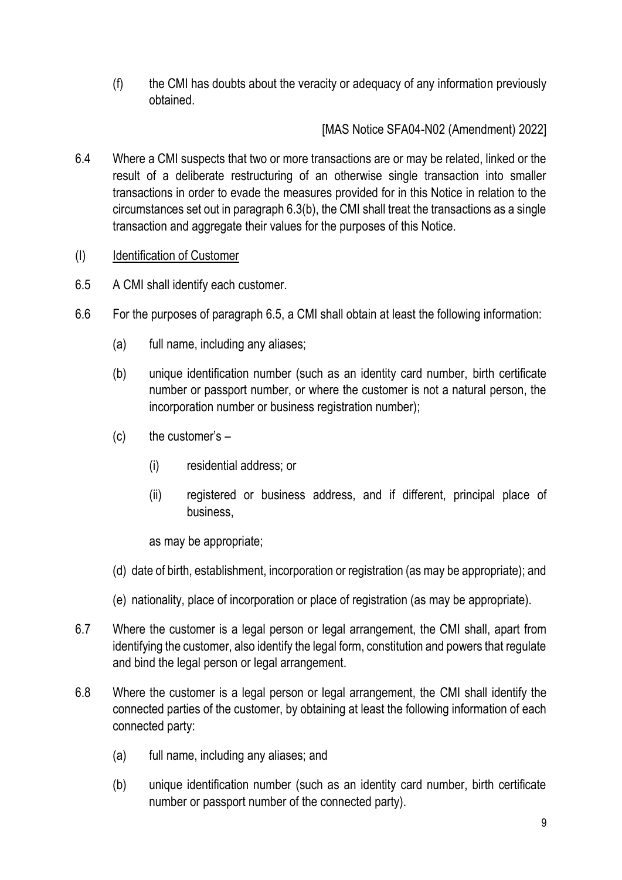(f) the CMI has doubts about the veracity or adequacy of any information previously obtained.

[MAS Notice SFA04-N02 (Amendment) 2022]

- 6.4 Where a CMI suspects that two or more transactions are or may be related, linked or the result of a deliberate restructuring of an otherwise single transaction into smaller transactions in order to evade the measures provided for in this Notice in relation to the circumstances set out in paragraph 6.3(b), the CMI shall treat the transactions as a single transaction and aggregate their values for the purposes of this Notice.
- (I) Identification of Customer
- 6.5 A CMI shall identify each customer.
- 6.6 For the purposes of paragraph 6.5, a CMI shall obtain at least the following information:
	- (a) full name, including any aliases;
	- (b) unique identification number (such as an identity card number, birth certificate number or passport number, or where the customer is not a natural person, the incorporation number or business registration number);
	- $(c)$  the customer's  $-$ 
		- (i) residential address; or
		- (ii) registered or business address, and if different, principal place of business,

as may be appropriate;

- (d) date of birth, establishment, incorporation or registration (as may be appropriate); and
- (e) nationality, place of incorporation or place of registration (as may be appropriate).
- 6.7 Where the customer is a legal person or legal arrangement, the CMI shall, apart from identifying the customer, also identify the legal form, constitution and powers that regulate and bind the legal person or legal arrangement.
- 6.8 Where the customer is a legal person or legal arrangement, the CMI shall identify the connected parties of the customer, by obtaining at least the following information of each connected party:
	- (a) full name, including any aliases; and
	- (b) unique identification number (such as an identity card number, birth certificate number or passport number of the connected party).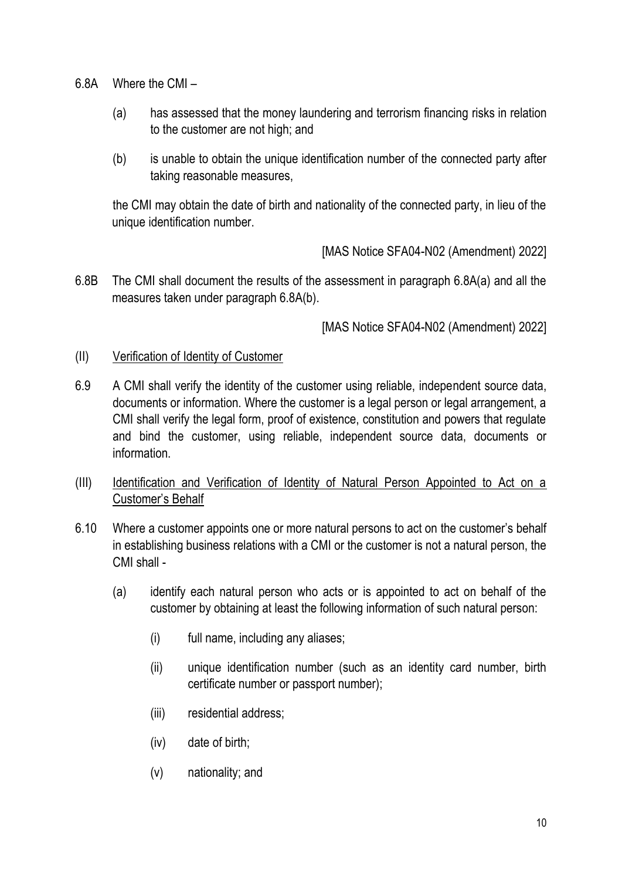- 6.8A Where the CMI
	- (a) has assessed that the money laundering and terrorism financing risks in relation to the customer are not high; and
	- (b) is unable to obtain the unique identification number of the connected party after taking reasonable measures,

the CMI may obtain the date of birth and nationality of the connected party, in lieu of the unique identification number.

[MAS Notice SFA04-N02 (Amendment) 2022]

6.8B The CMI shall document the results of the assessment in paragraph 6.8A(a) and all the measures taken under paragraph 6.8A(b).

- (II) Verification of Identity of Customer
- 6.9 A CMI shall verify the identity of the customer using reliable, independent source data, documents or information. Where the customer is a legal person or legal arrangement, a CMI shall verify the legal form, proof of existence, constitution and powers that regulate and bind the customer, using reliable, independent source data, documents or information.
- (III) Identification and Verification of Identity of Natural Person Appointed to Act on a Customer's Behalf
- 6.10 Where a customer appoints one or more natural persons to act on the customer's behalf in establishing business relations with a CMI or the customer is not a natural person, the CMI shall -
	- (a) identify each natural person who acts or is appointed to act on behalf of the customer by obtaining at least the following information of such natural person:
		- (i) full name, including any aliases;
		- (ii) unique identification number (such as an identity card number, birth certificate number or passport number);
		- (iii) residential address;
		- (iv) date of birth;
		- (v) nationality; and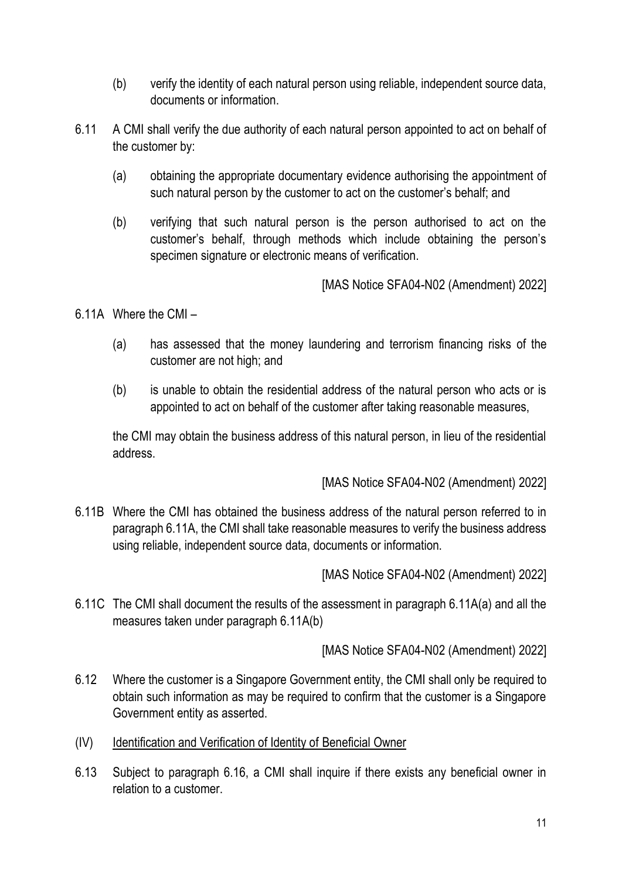- (b) verify the identity of each natural person using reliable, independent source data, documents or information.
- 6.11 A CMI shall verify the due authority of each natural person appointed to act on behalf of the customer by:
	- (a) obtaining the appropriate documentary evidence authorising the appointment of such natural person by the customer to act on the customer's behalf; and
	- (b) verifying that such natural person is the person authorised to act on the customer's behalf, through methods which include obtaining the person's specimen signature or electronic means of verification.

6.11A Where the CMI –

- (a) has assessed that the money laundering and terrorism financing risks of the customer are not high; and
- (b) is unable to obtain the residential address of the natural person who acts or is appointed to act on behalf of the customer after taking reasonable measures,

the CMI may obtain the business address of this natural person, in lieu of the residential address.

[MAS Notice SFA04-N02 (Amendment) 2022]

6.11B Where the CMI has obtained the business address of the natural person referred to in paragraph 6.11A, the CMI shall take reasonable measures to verify the business address using reliable, independent source data, documents or information.

[MAS Notice SFA04-N02 (Amendment) 2022]

6.11C The CMI shall document the results of the assessment in paragraph 6.11A(a) and all the measures taken under paragraph 6.11A(b)

- 6.12 Where the customer is a Singapore Government entity, the CMI shall only be required to obtain such information as may be required to confirm that the customer is a Singapore Government entity as asserted.
- (IV) Identification and Verification of Identity of Beneficial Owner
- 6.13 Subject to paragraph 6.16, a CMI shall inquire if there exists any beneficial owner in relation to a customer.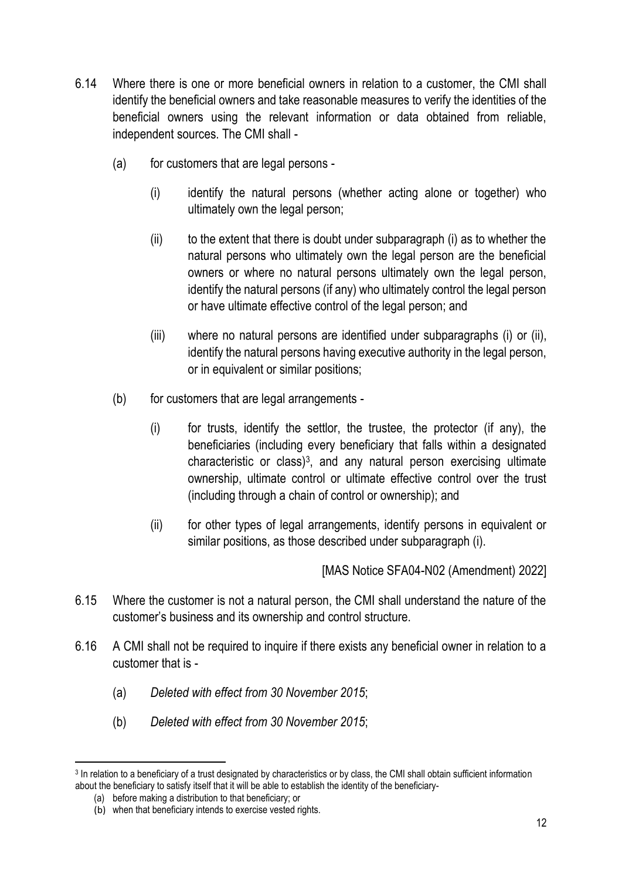- 6.14 Where there is one or more beneficial owners in relation to a customer, the CMI shall identify the beneficial owners and take reasonable measures to verify the identities of the beneficial owners using the relevant information or data obtained from reliable, independent sources. The CMI shall -
	- (a) for customers that are legal persons
		- (i) identify the natural persons (whether acting alone or together) who ultimately own the legal person;
		- (ii) to the extent that there is doubt under subparagraph (i) as to whether the natural persons who ultimately own the legal person are the beneficial owners or where no natural persons ultimately own the legal person, identify the natural persons (if any) who ultimately control the legal person or have ultimate effective control of the legal person; and
		- (iii) where no natural persons are identified under subparagraphs (i) or (ii), identify the natural persons having executive authority in the legal person, or in equivalent or similar positions;
	- (b) for customers that are legal arrangements
		- (i) for trusts, identify the settlor, the trustee, the protector (if any), the beneficiaries (including every beneficiary that falls within a designated characteristic or class)<sup>3</sup>, and any natural person exercising ultimate ownership, ultimate control or ultimate effective control over the trust (including through a chain of control or ownership); and
		- (ii) for other types of legal arrangements, identify persons in equivalent or similar positions, as those described under subparagraph (i).

- 6.15 Where the customer is not a natural person, the CMI shall understand the nature of the customer's business and its ownership and control structure.
- 6.16 A CMI shall not be required to inquire if there exists any beneficial owner in relation to a customer that is -
	- (a) *Deleted with effect from 30 November 2015*;
	- (b) *Deleted with effect from 30 November 2015*;

<sup>3</sup> In relation to a beneficiary of a trust designated by characteristics or by class, the CMI shall obtain sufficient information about the beneficiary to satisfy itself that it will be able to establish the identity of the beneficiary-

<sup>(</sup>a) before making a distribution to that beneficiary; or

<sup>(</sup>b) when that beneficiary intends to exercise vested rights.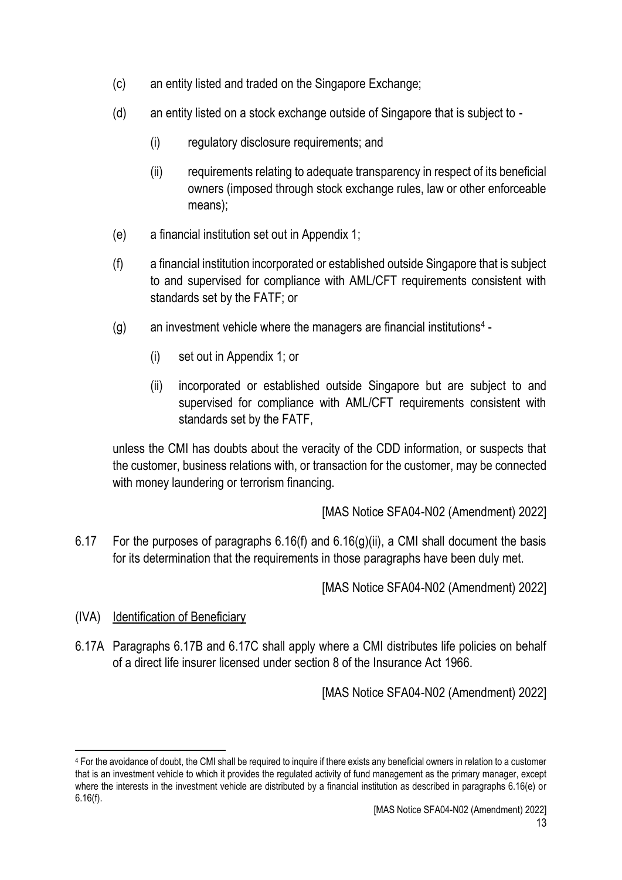- (c) an entity listed and traded on the Singapore Exchange;
- (d) an entity listed on a stock exchange outside of Singapore that is subject to
	- (i) regulatory disclosure requirements; and
	- (ii) requirements relating to adequate transparency in respect of its beneficial owners (imposed through stock exchange rules, law or other enforceable means);
- (e) a financial institution set out in Appendix 1;
- (f) a financial institution incorporated or established outside Singapore that is subject to and supervised for compliance with AML/CFT requirements consistent with standards set by the FATF; or
- (g) an investment vehicle where the managers are financial institutions<sup>4</sup>
	- (i) set out in Appendix 1; or
	- (ii) incorporated or established outside Singapore but are subject to and supervised for compliance with AML/CFT requirements consistent with standards set by the FATF,

unless the CMI has doubts about the veracity of the CDD information, or suspects that the customer, business relations with, or transaction for the customer, may be connected with money laundering or terrorism financing.

[MAS Notice SFA04-N02 (Amendment) 2022]

6.17 For the purposes of paragraphs 6.16(f) and 6.16(g)(ii), a CMI shall document the basis for its determination that the requirements in those paragraphs have been duly met.

[MAS Notice SFA04-N02 (Amendment) 2022]

- (IVA) Identification of Beneficiary
- 6.17A Paragraphs 6.17B and 6.17C shall apply where a CMI distributes life policies on behalf of a direct life insurer licensed under section 8 of the Insurance Act 1966.

<sup>4</sup> For the avoidance of doubt, the CMI shall be required to inquire if there exists any beneficial owners in relation to a customer that is an investment vehicle to which it provides the regulated activity of fund management as the primary manager, except where the interests in the investment vehicle are distributed by a financial institution as described in paragraphs 6.16(e) or 6.16(f).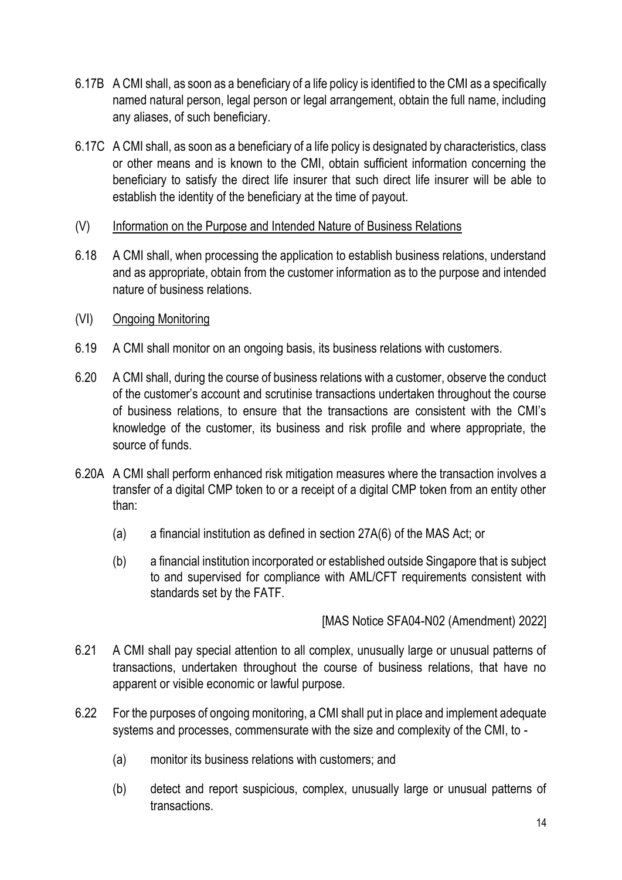- 6.17B A CMI shall, as soon as a beneficiary of a life policy is identified to the CMI as a specifically named natural person, legal person or legal arrangement, obtain the full name, including any aliases, of such beneficiary.
- 6.17C A CMI shall, as soon as a beneficiary of a life policy is designated by characteristics, class or other means and is known to the CMI, obtain sufficient information concerning the beneficiary to satisfy the direct life insurer that such direct life insurer will be able to establish the identity of the beneficiary at the time of payout.
- (V) Information on the Purpose and Intended Nature of Business Relations
- 6.18 A CMI shall, when processing the application to establish business relations, understand and as appropriate, obtain from the customer information as to the purpose and intended nature of business relations.
- (VI) Ongoing Monitoring
- 6.19 A CMI shall monitor on an ongoing basis, its business relations with customers.
- 6.20 A CMI shall, during the course of business relations with a customer, observe the conduct of the customer's account and scrutinise transactions undertaken throughout the course of business relations, to ensure that the transactions are consistent with the CMI's knowledge of the customer, its business and risk profile and where appropriate, the source of funds.
- 6.20A A CMI shall perform enhanced risk mitigation measures where the transaction involves a transfer of a digital CMP token to or a receipt of a digital CMP token from an entity other than:
	- (a) a financial institution as defined in section 27A(6) of the MAS Act; or
	- (b) a financial institution incorporated or established outside Singapore that is subject to and supervised for compliance with AML/CFT requirements consistent with standards set by the FATF.

- 6.21 A CMI shall pay special attention to all complex, unusually large or unusual patterns of transactions, undertaken throughout the course of business relations, that have no apparent or visible economic or lawful purpose.
- 6.22 For the purposes of ongoing monitoring, a CMI shall put in place and implement adequate systems and processes, commensurate with the size and complexity of the CMI, to -
	- (a) monitor its business relations with customers; and
	- (b) detect and report suspicious, complex, unusually large or unusual patterns of transactions.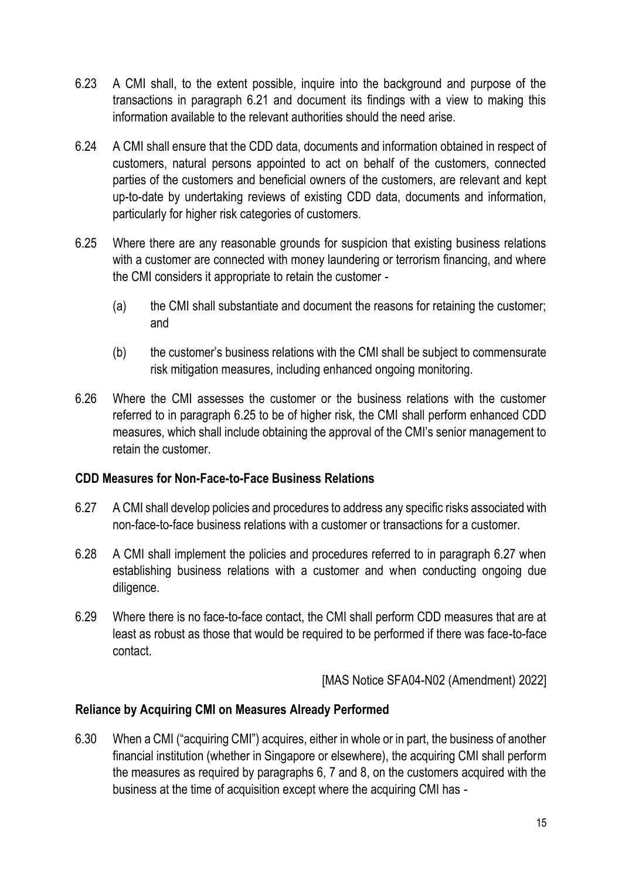- 6.23 A CMI shall, to the extent possible, inquire into the background and purpose of the transactions in paragraph 6.21 and document its findings with a view to making this information available to the relevant authorities should the need arise.
- 6.24 A CMI shall ensure that the CDD data, documents and information obtained in respect of customers, natural persons appointed to act on behalf of the customers, connected parties of the customers and beneficial owners of the customers, are relevant and kept up-to-date by undertaking reviews of existing CDD data, documents and information, particularly for higher risk categories of customers.
- 6.25 Where there are any reasonable grounds for suspicion that existing business relations with a customer are connected with money laundering or terrorism financing, and where the CMI considers it appropriate to retain the customer -
	- (a) the CMI shall substantiate and document the reasons for retaining the customer; and
	- (b) the customer's business relations with the CMI shall be subject to commensurate risk mitigation measures, including enhanced ongoing monitoring.
- 6.26 Where the CMI assesses the customer or the business relations with the customer referred to in paragraph 6.25 to be of higher risk, the CMI shall perform enhanced CDD measures, which shall include obtaining the approval of the CMI's senior management to retain the customer.

#### **CDD Measures for Non-Face-to-Face Business Relations**

- 6.27 A CMI shall develop policies and procedures to address any specific risks associated with non-face-to-face business relations with a customer or transactions for a customer.
- 6.28 A CMI shall implement the policies and procedures referred to in paragraph 6.27 when establishing business relations with a customer and when conducting ongoing due diligence.
- 6.29 Where there is no face-to-face contact, the CMI shall perform CDD measures that are at least as robust as those that would be required to be performed if there was face-to-face contact.

[MAS Notice SFA04-N02 (Amendment) 2022]

## **Reliance by Acquiring CMI on Measures Already Performed**

6.30 When a CMI ("acquiring CMI") acquires, either in whole or in part, the business of another financial institution (whether in Singapore or elsewhere), the acquiring CMI shall perform the measures as required by paragraphs 6, 7 and 8, on the customers acquired with the business at the time of acquisition except where the acquiring CMI has -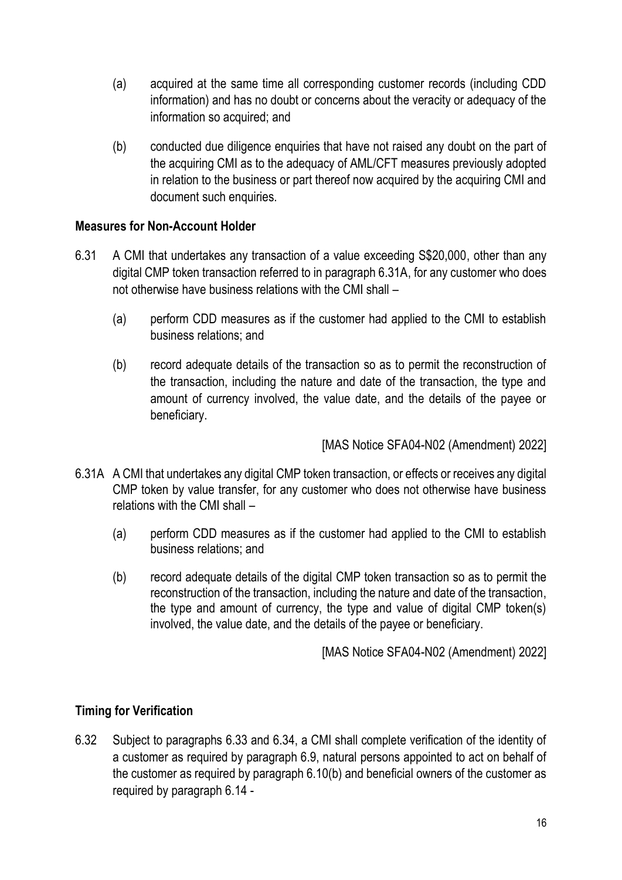- (a) acquired at the same time all corresponding customer records (including CDD information) and has no doubt or concerns about the veracity or adequacy of the information so acquired; and
- (b) conducted due diligence enquiries that have not raised any doubt on the part of the acquiring CMI as to the adequacy of AML/CFT measures previously adopted in relation to the business or part thereof now acquired by the acquiring CMI and document such enquiries.

### **Measures for Non-Account Holder**

- 6.31 A CMI that undertakes any transaction of a value exceeding S\$20,000, other than any digital CMP token transaction referred to in paragraph 6.31A, for any customer who does not otherwise have business relations with the CMI shall –
	- (a) perform CDD measures as if the customer had applied to the CMI to establish business relations; and
	- (b) record adequate details of the transaction so as to permit the reconstruction of the transaction, including the nature and date of the transaction, the type and amount of currency involved, the value date, and the details of the payee or beneficiary.

[MAS Notice SFA04-N02 (Amendment) 2022]

- 6.31A A CMI that undertakes any digital CMP token transaction, or effects or receives any digital CMP token by value transfer, for any customer who does not otherwise have business relations with the CMI shall –
	- (a) perform CDD measures as if the customer had applied to the CMI to establish business relations; and
	- (b) record adequate details of the digital CMP token transaction so as to permit the reconstruction of the transaction, including the nature and date of the transaction, the type and amount of currency, the type and value of digital CMP token(s) involved, the value date, and the details of the payee or beneficiary.

[MAS Notice SFA04-N02 (Amendment) 2022]

## **Timing for Verification**

6.32 Subject to paragraphs 6.33 and 6.34, a CMI shall complete verification of the identity of a customer as required by paragraph 6.9, natural persons appointed to act on behalf of the customer as required by paragraph 6.10(b) and beneficial owners of the customer as required by paragraph 6.14 -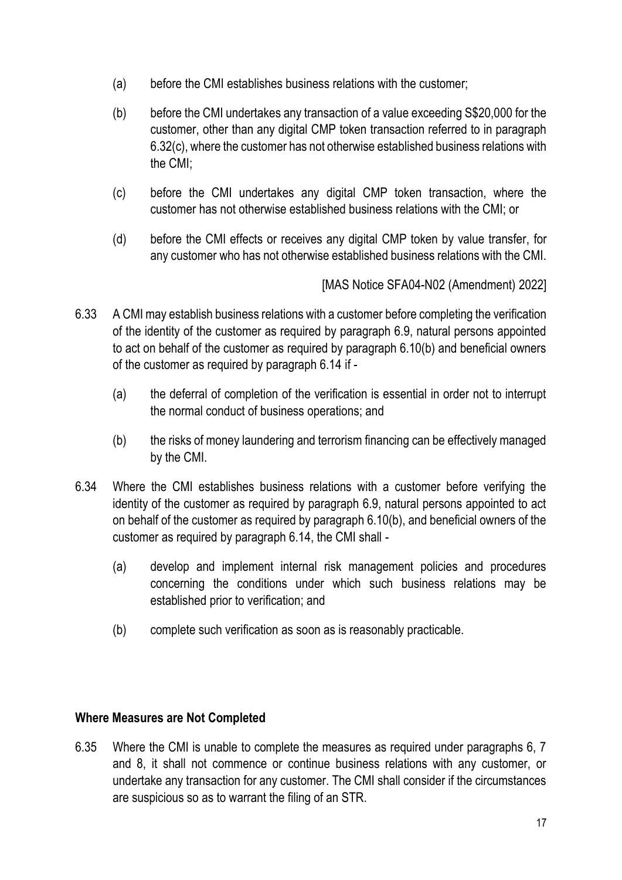- (a) before the CMI establishes business relations with the customer;
- (b) before the CMI undertakes any transaction of a value exceeding S\$20,000 for the customer, other than any digital CMP token transaction referred to in paragraph 6.32(c), where the customer has not otherwise established business relations with the CMI;
- (c) before the CMI undertakes any digital CMP token transaction, where the customer has not otherwise established business relations with the CMI; or
- (d) before the CMI effects or receives any digital CMP token by value transfer, for any customer who has not otherwise established business relations with the CMI.

- 6.33 A CMI may establish business relations with a customer before completing the verification of the identity of the customer as required by paragraph 6.9, natural persons appointed to act on behalf of the customer as required by paragraph 6.10(b) and beneficial owners of the customer as required by paragraph 6.14 if -
	- (a) the deferral of completion of the verification is essential in order not to interrupt the normal conduct of business operations; and
	- (b) the risks of money laundering and terrorism financing can be effectively managed by the CMI.
- 6.34 Where the CMI establishes business relations with a customer before verifying the identity of the customer as required by paragraph 6.9, natural persons appointed to act on behalf of the customer as required by paragraph 6.10(b), and beneficial owners of the customer as required by paragraph 6.14, the CMI shall -
	- (a) develop and implement internal risk management policies and procedures concerning the conditions under which such business relations may be established prior to verification; and
	- (b) complete such verification as soon as is reasonably practicable.

## **Where Measures are Not Completed**

6.35 Where the CMI is unable to complete the measures as required under paragraphs 6, 7 and 8, it shall not commence or continue business relations with any customer, or undertake any transaction for any customer. The CMI shall consider if the circumstances are suspicious so as to warrant the filing of an STR.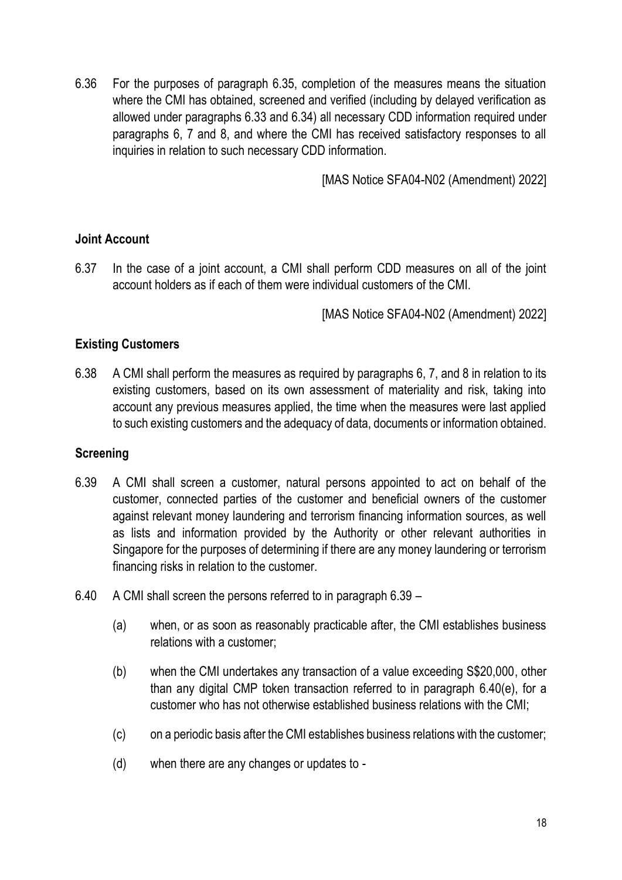6.36 For the purposes of paragraph 6.35, completion of the measures means the situation where the CMI has obtained, screened and verified (including by delayed verification as allowed under paragraphs 6.33 and 6.34) all necessary CDD information required under paragraphs 6, 7 and 8, and where the CMI has received satisfactory responses to all inquiries in relation to such necessary CDD information.

[MAS Notice SFA04-N02 (Amendment) 2022]

### **Joint Account**

6.37 In the case of a joint account, a CMI shall perform CDD measures on all of the joint account holders as if each of them were individual customers of the CMI.

[MAS Notice SFA04-N02 (Amendment) 2022]

### **Existing Customers**

6.38 A CMI shall perform the measures as required by paragraphs 6, 7, and 8 in relation to its existing customers, based on its own assessment of materiality and risk, taking into account any previous measures applied, the time when the measures were last applied to such existing customers and the adequacy of data, documents or information obtained.

#### **Screening**

- 6.39 A CMI shall screen a customer, natural persons appointed to act on behalf of the customer, connected parties of the customer and beneficial owners of the customer against relevant money laundering and terrorism financing information sources, as well as lists and information provided by the Authority or other relevant authorities in Singapore for the purposes of determining if there are any money laundering or terrorism financing risks in relation to the customer.
- 6.40 A CMI shall screen the persons referred to in paragraph 6.39
	- (a) when, or as soon as reasonably practicable after, the CMI establishes business relations with a customer;
	- (b) when the CMI undertakes any transaction of a value exceeding S\$20,000, other than any digital CMP token transaction referred to in paragraph 6.40(e), for a customer who has not otherwise established business relations with the CMI;
	- (c) on a periodic basis after the CMI establishes business relations with the customer;
	- (d) when there are any changes or updates to -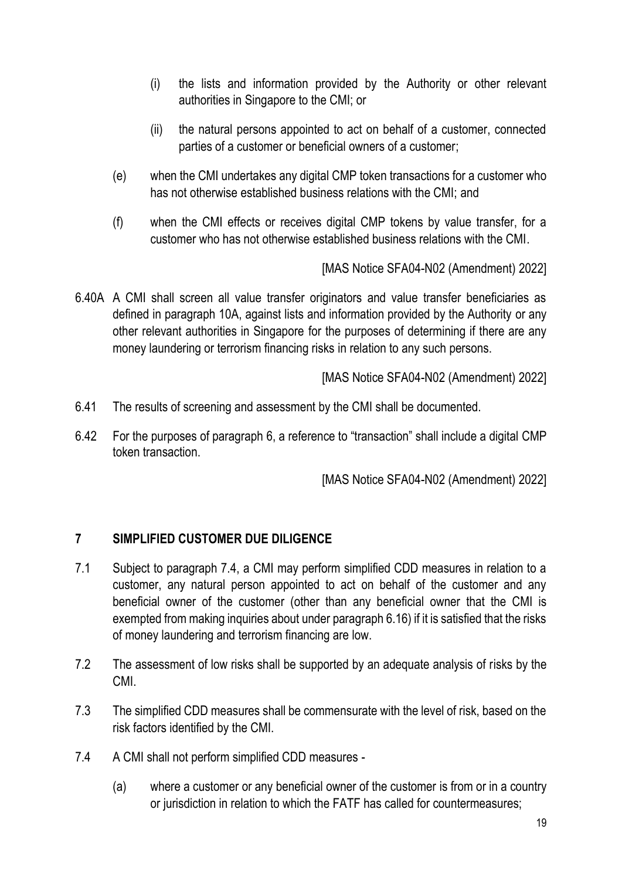- (i) the lists and information provided by the Authority or other relevant authorities in Singapore to the CMI; or
- (ii) the natural persons appointed to act on behalf of a customer, connected parties of a customer or beneficial owners of a customer;
- (e) when the CMI undertakes any digital CMP token transactions for a customer who has not otherwise established business relations with the CMI; and
- (f) when the CMI effects or receives digital CMP tokens by value transfer, for a customer who has not otherwise established business relations with the CMI.

6.40A A CMI shall screen all value transfer originators and value transfer beneficiaries as defined in paragraph 10A, against lists and information provided by the Authority or any other relevant authorities in Singapore for the purposes of determining if there are any money laundering or terrorism financing risks in relation to any such persons.

[MAS Notice SFA04-N02 (Amendment) 2022]

- 6.41 The results of screening and assessment by the CMI shall be documented.
- 6.42 For the purposes of paragraph 6, a reference to "transaction" shall include a digital CMP token transaction.

[MAS Notice SFA04-N02 (Amendment) 2022]

## **7 SIMPLIFIED CUSTOMER DUE DILIGENCE**

- 7.1 Subject to paragraph 7.4, a CMI may perform simplified CDD measures in relation to a customer, any natural person appointed to act on behalf of the customer and any beneficial owner of the customer (other than any beneficial owner that the CMI is exempted from making inquiries about under paragraph 6.16) if it is satisfied that the risks of money laundering and terrorism financing are low.
- 7.2 The assessment of low risks shall be supported by an adequate analysis of risks by the CMI.
- 7.3 The simplified CDD measures shall be commensurate with the level of risk, based on the risk factors identified by the CMI.
- 7.4 A CMI shall not perform simplified CDD measures
	- (a) where a customer or any beneficial owner of the customer is from or in a country or jurisdiction in relation to which the FATF has called for countermeasures;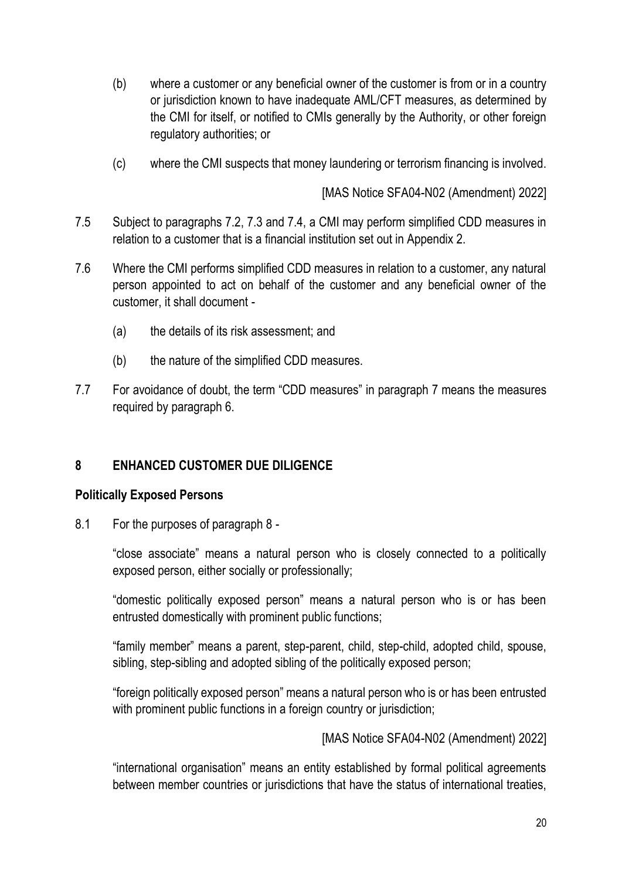- (b) where a customer or any beneficial owner of the customer is from or in a country or jurisdiction known to have inadequate AML/CFT measures, as determined by the CMI for itself, or notified to CMIs generally by the Authority, or other foreign regulatory authorities; or
- (c) where the CMI suspects that money laundering or terrorism financing is involved.

- 7.5 Subject to paragraphs 7.2, 7.3 and 7.4, a CMI may perform simplified CDD measures in relation to a customer that is a financial institution set out in Appendix 2.
- 7.6 Where the CMI performs simplified CDD measures in relation to a customer, any natural person appointed to act on behalf of the customer and any beneficial owner of the customer, it shall document -
	- (a) the details of its risk assessment; and
	- (b) the nature of the simplified CDD measures.
- 7.7 For avoidance of doubt, the term "CDD measures" in paragraph 7 means the measures required by paragraph 6.

## **8 ENHANCED CUSTOMER DUE DILIGENCE**

#### **Politically Exposed Persons**

8.1 For the purposes of paragraph 8 -

"close associate" means a natural person who is closely connected to a politically exposed person, either socially or professionally;

"domestic politically exposed person" means a natural person who is or has been entrusted domestically with prominent public functions;

"family member" means a parent, step-parent, child, step-child, adopted child, spouse, sibling, step-sibling and adopted sibling of the politically exposed person;

"foreign politically exposed person" means a natural person who is or has been entrusted with prominent public functions in a foreign country or jurisdiction;

[MAS Notice SFA04-N02 (Amendment) 2022]

"international organisation" means an entity established by formal political agreements between member countries or jurisdictions that have the status of international treaties,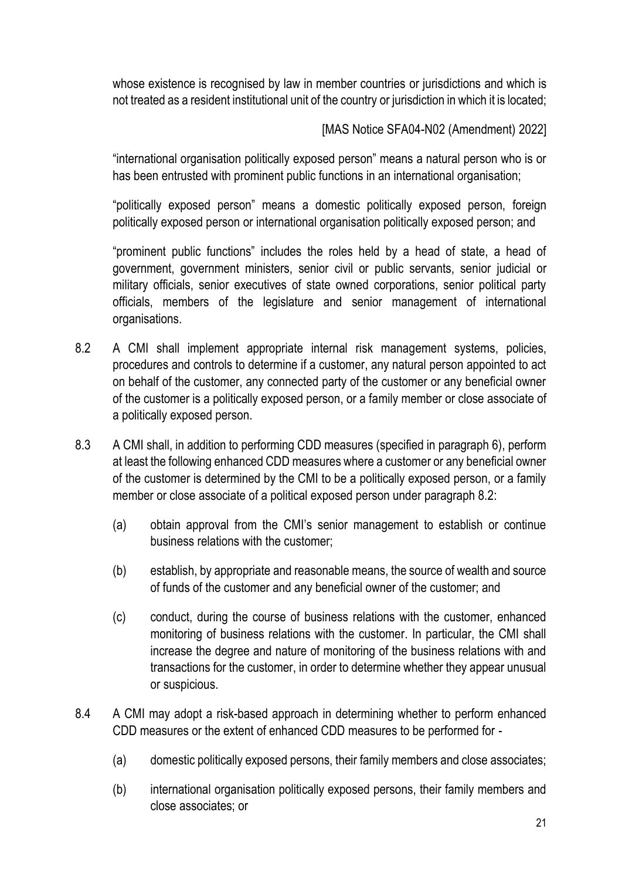whose existence is recognised by law in member countries or jurisdictions and which is not treated as a resident institutional unit of the country or jurisdiction in which it is located;

# [MAS Notice SFA04-N02 (Amendment) 2022]

"international organisation politically exposed person" means a natural person who is or has been entrusted with prominent public functions in an international organisation;

"politically exposed person" means a domestic politically exposed person, foreign politically exposed person or international organisation politically exposed person; and

"prominent public functions" includes the roles held by a head of state, a head of government, government ministers, senior civil or public servants, senior judicial or military officials, senior executives of state owned corporations, senior political party officials, members of the legislature and senior management of international organisations.

- 8.2 A CMI shall implement appropriate internal risk management systems, policies, procedures and controls to determine if a customer, any natural person appointed to act on behalf of the customer, any connected party of the customer or any beneficial owner of the customer is a politically exposed person, or a family member or close associate of a politically exposed person.
- 8.3 A CMI shall, in addition to performing CDD measures (specified in paragraph 6), perform at least the following enhanced CDD measures where a customer or any beneficial owner of the customer is determined by the CMI to be a politically exposed person, or a family member or close associate of a political exposed person under paragraph 8.2:
	- (a) obtain approval from the CMI's senior management to establish or continue business relations with the customer;
	- (b) establish, by appropriate and reasonable means, the source of wealth and source of funds of the customer and any beneficial owner of the customer; and
	- (c) conduct, during the course of business relations with the customer, enhanced monitoring of business relations with the customer. In particular, the CMI shall increase the degree and nature of monitoring of the business relations with and transactions for the customer, in order to determine whether they appear unusual or suspicious.
- 8.4 A CMI may adopt a risk-based approach in determining whether to perform enhanced CDD measures or the extent of enhanced CDD measures to be performed for -
	- (a) domestic politically exposed persons, their family members and close associates;
	- (b) international organisation politically exposed persons, their family members and close associates; or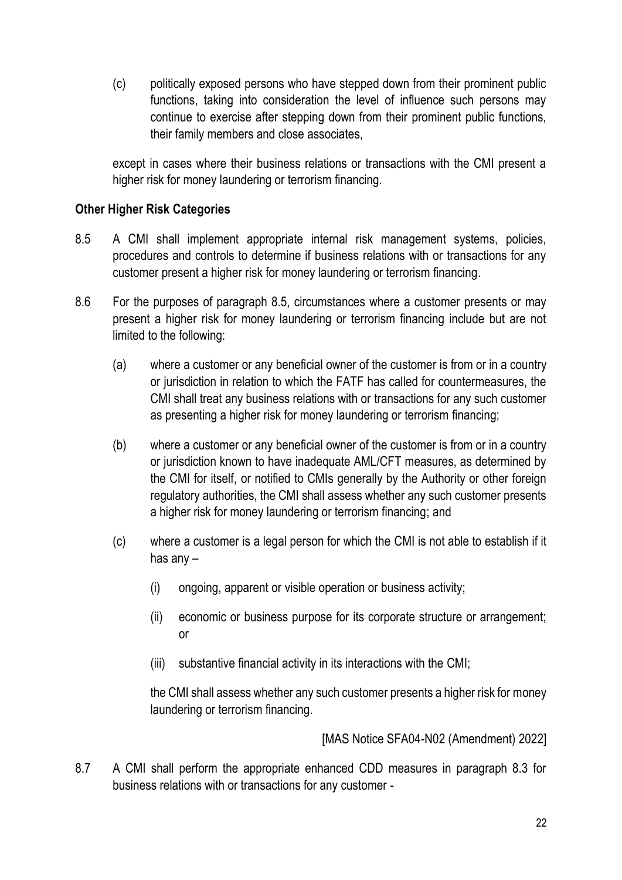(c) politically exposed persons who have stepped down from their prominent public functions, taking into consideration the level of influence such persons may continue to exercise after stepping down from their prominent public functions, their family members and close associates,

except in cases where their business relations or transactions with the CMI present a higher risk for money laundering or terrorism financing.

### **Other Higher Risk Categories**

- 8.5 A CMI shall implement appropriate internal risk management systems, policies, procedures and controls to determine if business relations with or transactions for any customer present a higher risk for money laundering or terrorism financing.
- 8.6 For the purposes of paragraph 8.5, circumstances where a customer presents or may present a higher risk for money laundering or terrorism financing include but are not limited to the following:
	- (a) where a customer or any beneficial owner of the customer is from or in a country or jurisdiction in relation to which the FATF has called for countermeasures, the CMI shall treat any business relations with or transactions for any such customer as presenting a higher risk for money laundering or terrorism financing;
	- (b) where a customer or any beneficial owner of the customer is from or in a country or jurisdiction known to have inadequate AML/CFT measures, as determined by the CMI for itself, or notified to CMIs generally by the Authority or other foreign regulatory authorities, the CMI shall assess whether any such customer presents a higher risk for money laundering or terrorism financing; and
	- (c) where a customer is a legal person for which the CMI is not able to establish if it has any –
		- (i) ongoing, apparent or visible operation or business activity;
		- (ii) economic or business purpose for its corporate structure or arrangement; or
		- (iii) substantive financial activity in its interactions with the CMI;

the CMI shall assess whether any such customer presents a higher risk for money laundering or terrorism financing.

[MAS Notice SFA04-N02 (Amendment) 2022]

8.7 A CMI shall perform the appropriate enhanced CDD measures in paragraph 8.3 for business relations with or transactions for any customer -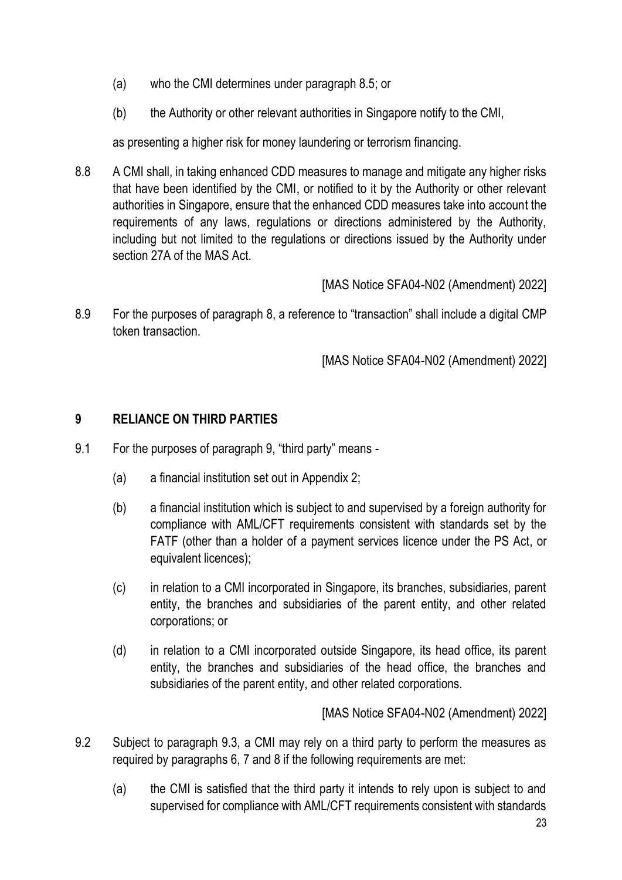- (a) who the CMI determines under paragraph 8.5; or
- (b) the Authority or other relevant authorities in Singapore notify to the CMI,

as presenting a higher risk for money laundering or terrorism financing.

8.8 A CMI shall, in taking enhanced CDD measures to manage and mitigate any higher risks that have been identified by the CMI, or notified to it by the Authority or other relevant authorities in Singapore, ensure that the enhanced CDD measures take into account the requirements of any laws, regulations or directions administered by the Authority, including but not limited to the regulations or directions issued by the Authority under section 27A of the MAS Act.

[MAS Notice SFA04-N02 (Amendment) 2022]

8.9 For the purposes of paragraph 8, a reference to "transaction" shall include a digital CMP token transaction.

[MAS Notice SFA04-N02 (Amendment) 2022]

## **9 RELIANCE ON THIRD PARTIES**

- 9.1 For the purposes of paragraph 9, "third party" means
	- (a) a financial institution set out in Appendix 2;
	- (b) a financial institution which is subject to and supervised by a foreign authority for compliance with AML/CFT requirements consistent with standards set by the FATF (other than a holder of a payment services licence under the PS Act, or equivalent licences);
	- (c) in relation to a CMI incorporated in Singapore, its branches, subsidiaries, parent entity, the branches and subsidiaries of the parent entity, and other related corporations; or
	- (d) in relation to a CMI incorporated outside Singapore, its head office, its parent entity, the branches and subsidiaries of the head office, the branches and subsidiaries of the parent entity, and other related corporations.

- 9.2 Subject to paragraph 9.3, a CMI may rely on a third party to perform the measures as required by paragraphs 6, 7 and 8 if the following requirements are met:
	- (a) the CMI is satisfied that the third party it intends to rely upon is subject to and supervised for compliance with AML/CFT requirements consistent with standards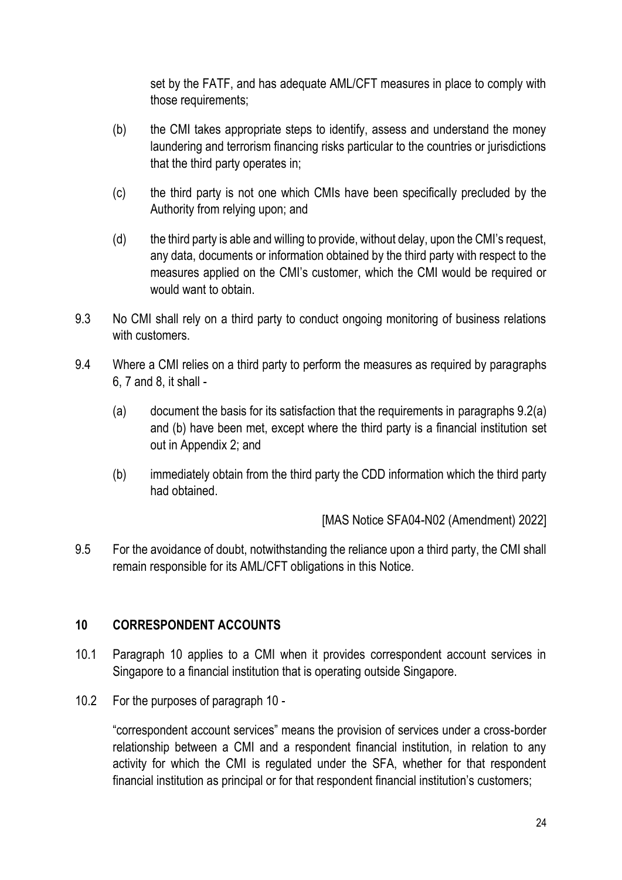set by the FATF, and has adequate AML/CFT measures in place to comply with those requirements;

- (b) the CMI takes appropriate steps to identify, assess and understand the money laundering and terrorism financing risks particular to the countries or jurisdictions that the third party operates in;
- (c) the third party is not one which CMIs have been specifically precluded by the Authority from relying upon; and
- (d) the third party is able and willing to provide, without delay, upon the CMI's request, any data, documents or information obtained by the third party with respect to the measures applied on the CMI's customer, which the CMI would be required or would want to obtain.
- 9.3 No CMI shall rely on a third party to conduct ongoing monitoring of business relations with customers.
- 9.4 Where a CMI relies on a third party to perform the measures as required by paragraphs 6, 7 and 8, it shall -
	- (a) document the basis for its satisfaction that the requirements in paragraphs 9.2(a) and (b) have been met, except where the third party is a financial institution set out in Appendix 2; and
	- (b) immediately obtain from the third party the CDD information which the third party had obtained.

[MAS Notice SFA04-N02 (Amendment) 2022]

9.5 For the avoidance of doubt, notwithstanding the reliance upon a third party, the CMI shall remain responsible for its AML/CFT obligations in this Notice.

## **10 CORRESPONDENT ACCOUNTS**

- 10.1 Paragraph 10 applies to a CMI when it provides correspondent account services in Singapore to a financial institution that is operating outside Singapore.
- 10.2 For the purposes of paragraph 10 -

"correspondent account services" means the provision of services under a cross-border relationship between a CMI and a respondent financial institution, in relation to any activity for which the CMI is regulated under the SFA, whether for that respondent financial institution as principal or for that respondent financial institution's customers;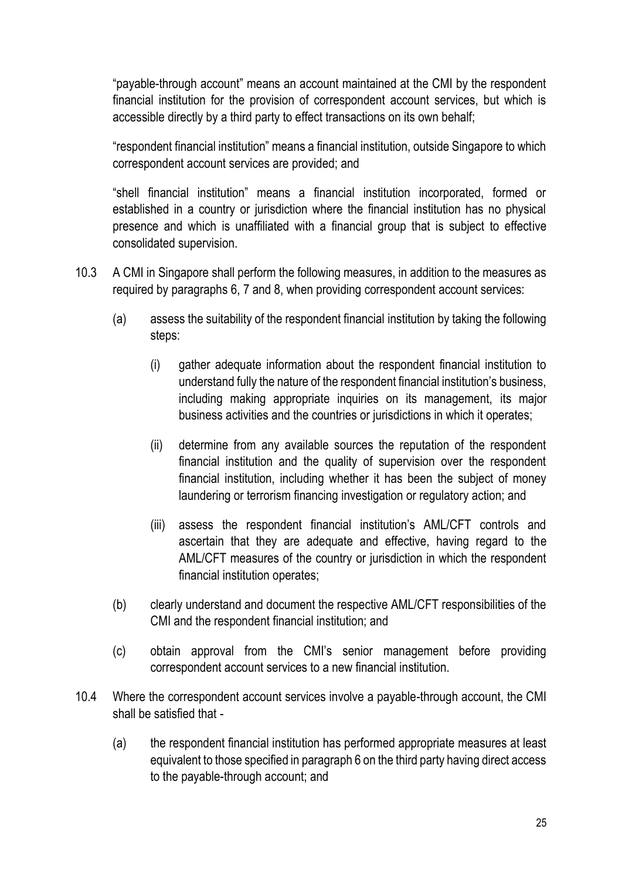"payable-through account" means an account maintained at the CMI by the respondent financial institution for the provision of correspondent account services, but which is accessible directly by a third party to effect transactions on its own behalf;

"respondent financial institution" means a financial institution, outside Singapore to which correspondent account services are provided; and

"shell financial institution" means a financial institution incorporated, formed or established in a country or jurisdiction where the financial institution has no physical presence and which is unaffiliated with a financial group that is subject to effective consolidated supervision.

- 10.3 A CMI in Singapore shall perform the following measures, in addition to the measures as required by paragraphs 6, 7 and 8, when providing correspondent account services:
	- (a) assess the suitability of the respondent financial institution by taking the following steps:
		- (i) gather adequate information about the respondent financial institution to understand fully the nature of the respondent financial institution's business, including making appropriate inquiries on its management, its major business activities and the countries or jurisdictions in which it operates;
		- (ii) determine from any available sources the reputation of the respondent financial institution and the quality of supervision over the respondent financial institution, including whether it has been the subject of money laundering or terrorism financing investigation or regulatory action; and
		- (iii) assess the respondent financial institution's AML/CFT controls and ascertain that they are adequate and effective, having regard to the AML/CFT measures of the country or jurisdiction in which the respondent financial institution operates;
	- (b) clearly understand and document the respective AML/CFT responsibilities of the CMI and the respondent financial institution; and
	- (c) obtain approval from the CMI's senior management before providing correspondent account services to a new financial institution.
- 10.4 Where the correspondent account services involve a payable-through account, the CMI shall be satisfied that -
	- (a) the respondent financial institution has performed appropriate measures at least equivalent to those specified in paragraph 6 on the third party having direct access to the payable-through account; and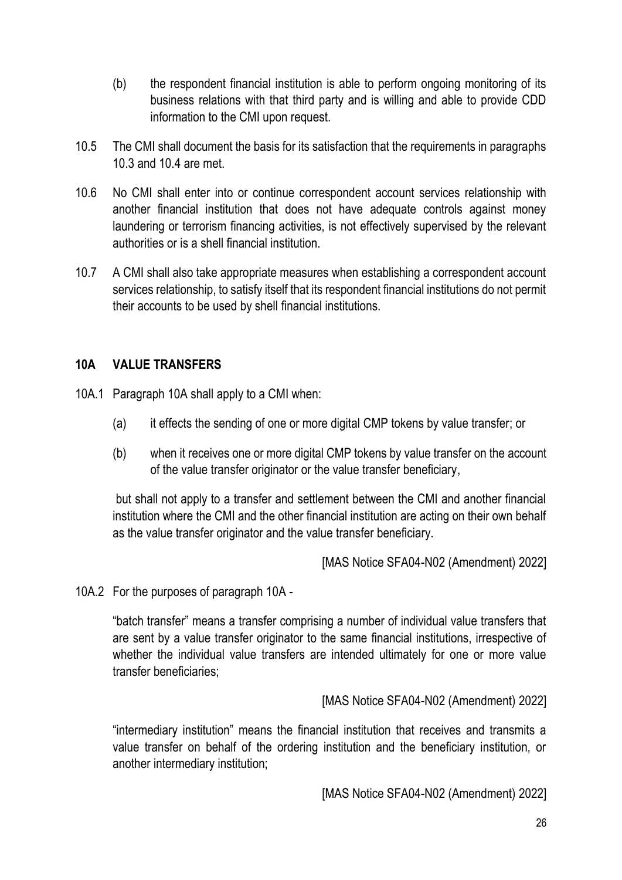- (b) the respondent financial institution is able to perform ongoing monitoring of its business relations with that third party and is willing and able to provide CDD information to the CMI upon request.
- 10.5 The CMI shall document the basis for its satisfaction that the requirements in paragraphs 10.3 and 10.4 are met.
- 10.6 No CMI shall enter into or continue correspondent account services relationship with another financial institution that does not have adequate controls against money laundering or terrorism financing activities, is not effectively supervised by the relevant authorities or is a shell financial institution.
- 10.7 A CMI shall also take appropriate measures when establishing a correspondent account services relationship, to satisfy itself that its respondent financial institutions do not permit their accounts to be used by shell financial institutions.

## **10A VALUE TRANSFERS**

- 10A.1 Paragraph 10A shall apply to a CMI when:
	- (a) it effects the sending of one or more digital CMP tokens by value transfer; or
	- (b) when it receives one or more digital CMP tokens by value transfer on the account of the value transfer originator or the value transfer beneficiary,

but shall not apply to a transfer and settlement between the CMI and another financial institution where the CMI and the other financial institution are acting on their own behalf as the value transfer originator and the value transfer beneficiary.

[MAS Notice SFA04-N02 (Amendment) 2022]

10A.2 For the purposes of paragraph 10A -

"batch transfer" means a transfer comprising a number of individual value transfers that are sent by a value transfer originator to the same financial institutions, irrespective of whether the individual value transfers are intended ultimately for one or more value transfer beneficiaries;

[MAS Notice SFA04-N02 (Amendment) 2022]

"intermediary institution" means the financial institution that receives and transmits a value transfer on behalf of the ordering institution and the beneficiary institution, or another intermediary institution;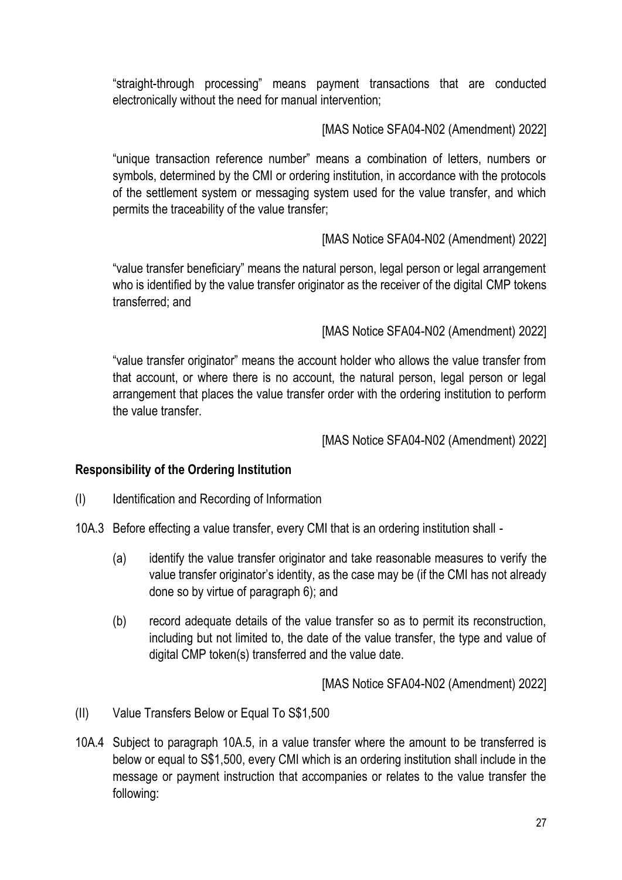"straight-through processing" means payment transactions that are conducted electronically without the need for manual intervention;

[MAS Notice SFA04-N02 (Amendment) 2022]

"unique transaction reference number" means a combination of letters, numbers or symbols, determined by the CMI or ordering institution, in accordance with the protocols of the settlement system or messaging system used for the value transfer, and which permits the traceability of the value transfer;

[MAS Notice SFA04-N02 (Amendment) 2022]

"value transfer beneficiary" means the natural person, legal person or legal arrangement who is identified by the value transfer originator as the receiver of the digital CMP tokens transferred; and

[MAS Notice SFA04-N02 (Amendment) 2022]

"value transfer originator" means the account holder who allows the value transfer from that account, or where there is no account, the natural person, legal person or legal arrangement that places the value transfer order with the ordering institution to perform the value transfer.

[MAS Notice SFA04-N02 (Amendment) 2022]

#### **Responsibility of the Ordering Institution**

- (I) Identification and Recording of Information
- 10A.3 Before effecting a value transfer, every CMI that is an ordering institution shall
	- (a) identify the value transfer originator and take reasonable measures to verify the value transfer originator's identity, as the case may be (if the CMI has not already done so by virtue of paragraph 6); and
	- (b) record adequate details of the value transfer so as to permit its reconstruction, including but not limited to, the date of the value transfer, the type and value of digital CMP token(s) transferred and the value date.

- (II) Value Transfers Below or Equal To S\$1,500
- 10A.4 Subject to paragraph 10A.5, in a value transfer where the amount to be transferred is below or equal to S\$1,500, every CMI which is an ordering institution shall include in the message or payment instruction that accompanies or relates to the value transfer the following: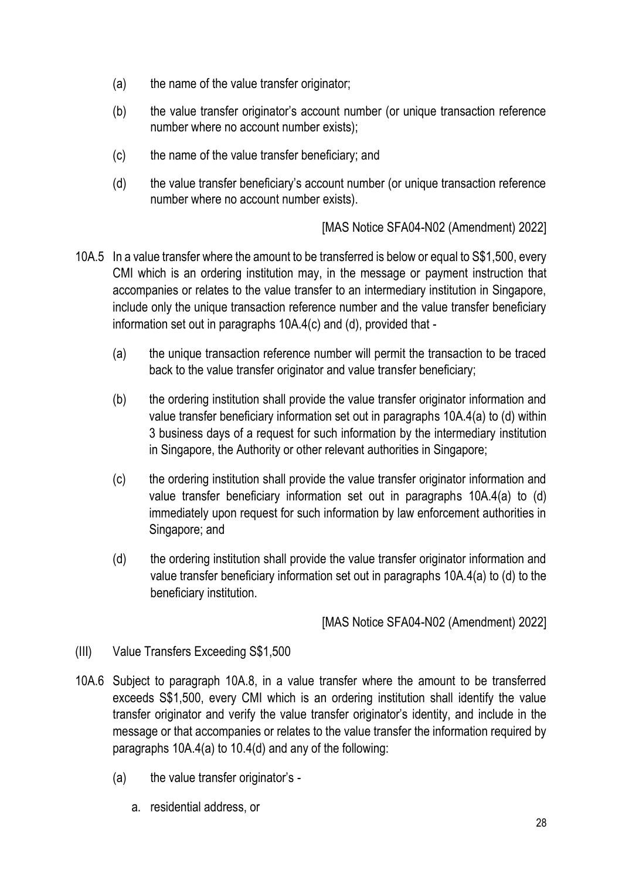- (a) the name of the value transfer originator;
- (b) the value transfer originator's account number (or unique transaction reference number where no account number exists);
- (c) the name of the value transfer beneficiary; and
- (d) the value transfer beneficiary's account number (or unique transaction reference number where no account number exists).

- 10A.5 In a value transfer where the amount to be transferred is below or equal to S\$1,500, every CMI which is an ordering institution may, in the message or payment instruction that accompanies or relates to the value transfer to an intermediary institution in Singapore, include only the unique transaction reference number and the value transfer beneficiary information set out in paragraphs 10A.4(c) and (d), provided that -
	- (a) the unique transaction reference number will permit the transaction to be traced back to the value transfer originator and value transfer beneficiary;
	- (b) the ordering institution shall provide the value transfer originator information and value transfer beneficiary information set out in paragraphs 10A.4(a) to (d) within 3 business days of a request for such information by the intermediary institution in Singapore, the Authority or other relevant authorities in Singapore;
	- (c) the ordering institution shall provide the value transfer originator information and value transfer beneficiary information set out in paragraphs 10A.4(a) to (d) immediately upon request for such information by law enforcement authorities in Singapore; and
	- (d) the ordering institution shall provide the value transfer originator information and value transfer beneficiary information set out in paragraphs 10A.4(a) to (d) to the beneficiary institution.

- (III) Value Transfers Exceeding S\$1,500
- 10A.6 Subject to paragraph 10A.8, in a value transfer where the amount to be transferred exceeds S\$1,500, every CMI which is an ordering institution shall identify the value transfer originator and verify the value transfer originator's identity, and include in the message or that accompanies or relates to the value transfer the information required by paragraphs 10A.4(a) to 10.4(d) and any of the following:
	- (a) the value transfer originator's
		- a. residential address, or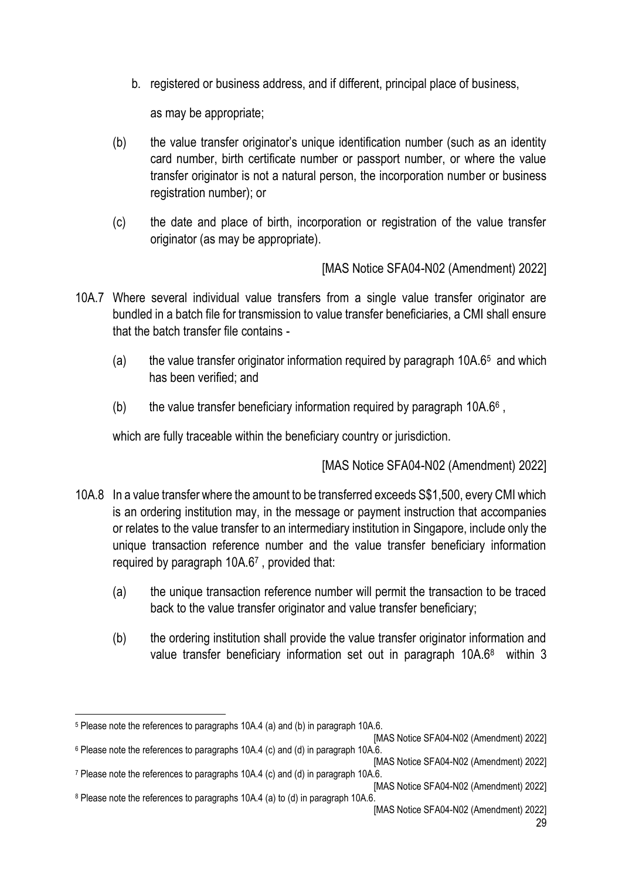b. registered or business address, and if different, principal place of business,

as may be appropriate;

- (b) the value transfer originator's unique identification number (such as an identity card number, birth certificate number or passport number, or where the value transfer originator is not a natural person, the incorporation number or business registration number); or
- (c) the date and place of birth, incorporation or registration of the value transfer originator (as may be appropriate).

[MAS Notice SFA04-N02 (Amendment) 2022]

- 10A.7 Where several individual value transfers from a single value transfer originator are bundled in a batch file for transmission to value transfer beneficiaries, a CMI shall ensure that the batch transfer file contains -
	- (a) the value transfer originator information required by paragraph 10A.6<sup>5</sup> and which has been verified; and
	- (b) the value transfer beneficiary information required by paragraph 10A.6 $6$ ,

which are fully traceable within the beneficiary country or jurisdiction.

- 10A.8 In a value transfer where the amount to be transferred exceeds S\$1,500, every CMI which is an ordering institution may, in the message or payment instruction that accompanies or relates to the value transfer to an intermediary institution in Singapore, include only the unique transaction reference number and the value transfer beneficiary information required by paragraph 10A.6<sup>7</sup> , provided that:
	- (a) the unique transaction reference number will permit the transaction to be traced back to the value transfer originator and value transfer beneficiary;
	- (b) the ordering institution shall provide the value transfer originator information and value transfer beneficiary information set out in paragraph 10A.6<sup>8</sup> within 3

<sup>5</sup> Please note the references to paragraphs 10A.4 (a) and (b) in paragraph 10A.6.

<sup>[</sup>MAS Notice SFA04-N02 (Amendment) 2022] <sup>6</sup> Please note the references to paragraphs 10A.4 (c) and (d) in paragraph 10A.6.

<sup>[</sup>MAS Notice SFA04-N02 (Amendment) 2022] <sup>7</sup> Please note the references to paragraphs 10A.4 (c) and (d) in paragraph 10A.6.

<sup>[</sup>MAS Notice SFA04-N02 (Amendment) 2022] <sup>8</sup> Please note the references to paragraphs 10A.4 (a) to (d) in paragraph 10A.6.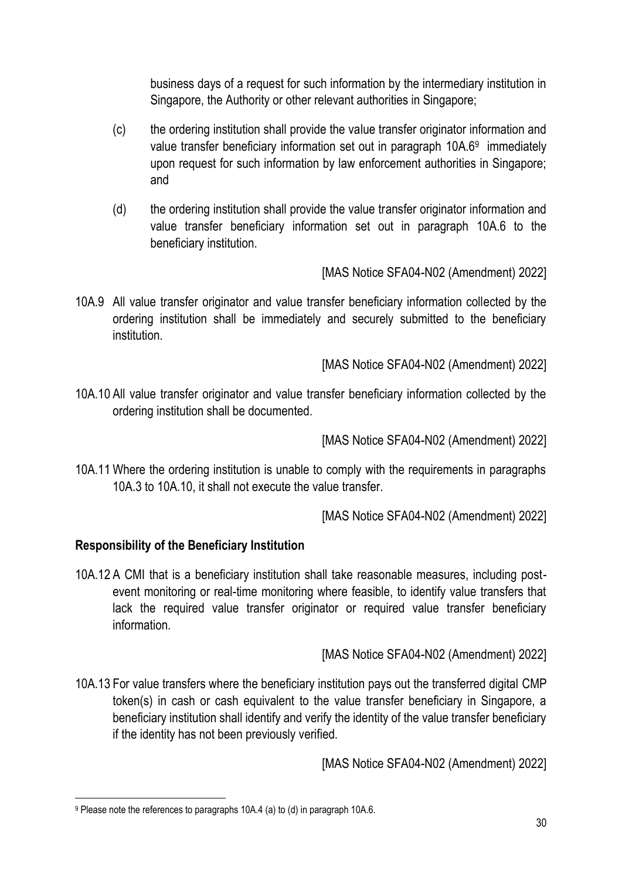business days of a request for such information by the intermediary institution in Singapore, the Authority or other relevant authorities in Singapore;

- (c) the ordering institution shall provide the value transfer originator information and value transfer beneficiary information set out in paragraph 10A.6<sup>9</sup> immediately upon request for such information by law enforcement authorities in Singapore; and
- (d) the ordering institution shall provide the value transfer originator information and value transfer beneficiary information set out in paragraph 10A.6 to the beneficiary institution.

[MAS Notice SFA04-N02 (Amendment) 2022]

10A.9 All value transfer originator and value transfer beneficiary information collected by the ordering institution shall be immediately and securely submitted to the beneficiary institution.

[MAS Notice SFA04-N02 (Amendment) 2022]

10A.10 All value transfer originator and value transfer beneficiary information collected by the ordering institution shall be documented.

[MAS Notice SFA04-N02 (Amendment) 2022]

10A.11 Where the ordering institution is unable to comply with the requirements in paragraphs 10A.3 to 10A.10, it shall not execute the value transfer.

[MAS Notice SFA04-N02 (Amendment) 2022]

## **Responsibility of the Beneficiary Institution**

10A.12 A CMI that is a beneficiary institution shall take reasonable measures, including postevent monitoring or real-time monitoring where feasible, to identify value transfers that lack the required value transfer originator or required value transfer beneficiary information.

[MAS Notice SFA04-N02 (Amendment) 2022]

10A.13 For value transfers where the beneficiary institution pays out the transferred digital CMP token(s) in cash or cash equivalent to the value transfer beneficiary in Singapore, a beneficiary institution shall identify and verify the identity of the value transfer beneficiary if the identity has not been previously verified.

<sup>9</sup> Please note the references to paragraphs 10A.4 (a) to (d) in paragraph 10A.6.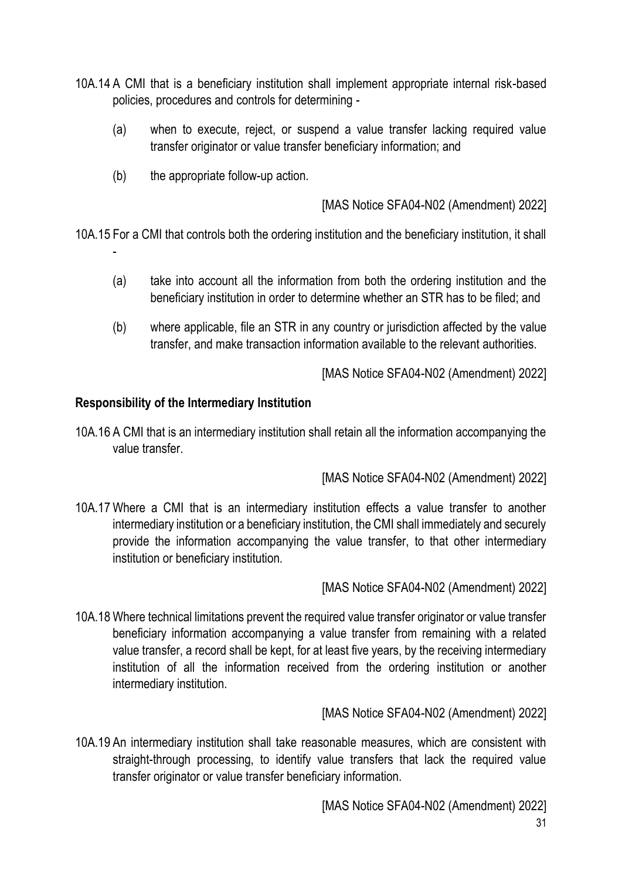- 10A.14 A CMI that is a beneficiary institution shall implement appropriate internal risk-based policies, procedures and controls for determining -
	- (a) when to execute, reject, or suspend a value transfer lacking required value transfer originator or value transfer beneficiary information; and
	- (b) the appropriate follow-up action.

10A.15 For a CMI that controls both the ordering institution and the beneficiary institution, it shall

- (a) take into account all the information from both the ordering institution and the beneficiary institution in order to determine whether an STR has to be filed; and
- (b) where applicable, file an STR in any country or jurisdiction affected by the value transfer, and make transaction information available to the relevant authorities.

[MAS Notice SFA04-N02 (Amendment) 2022]

### **Responsibility of the Intermediary Institution**

-

10A.16 A CMI that is an intermediary institution shall retain all the information accompanying the value transfer.

[MAS Notice SFA04-N02 (Amendment) 2022]

10A.17 Where a CMI that is an intermediary institution effects a value transfer to another intermediary institution or a beneficiary institution, the CMI shall immediately and securely provide the information accompanying the value transfer, to that other intermediary institution or beneficiary institution.

[MAS Notice SFA04-N02 (Amendment) 2022]

10A.18 Where technical limitations prevent the required value transfer originator or value transfer beneficiary information accompanying a value transfer from remaining with a related value transfer, a record shall be kept, for at least five years, by the receiving intermediary institution of all the information received from the ordering institution or another intermediary institution.

[MAS Notice SFA04-N02 (Amendment) 2022]

10A.19 An intermediary institution shall take reasonable measures, which are consistent with straight-through processing, to identify value transfers that lack the required value transfer originator or value transfer beneficiary information.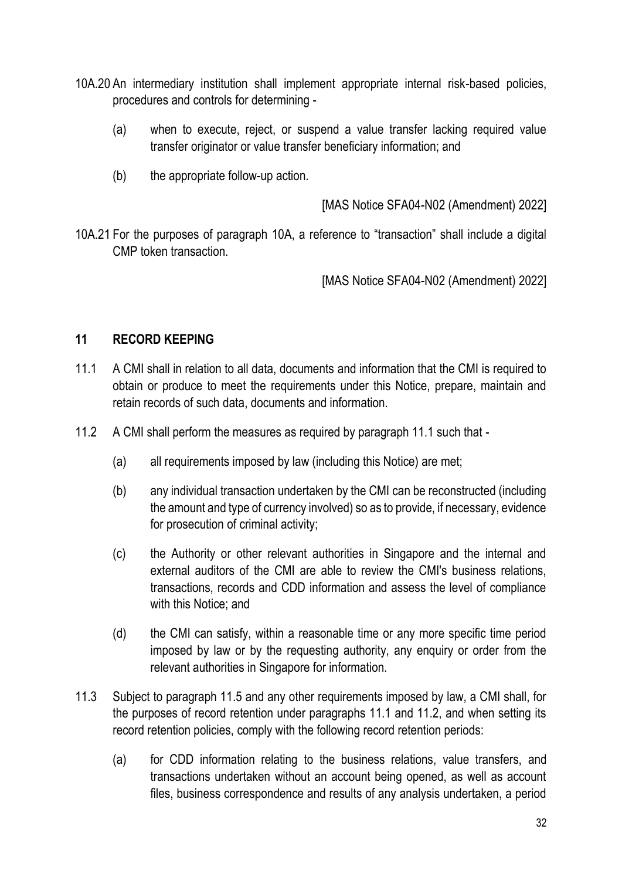- 10A.20 An intermediary institution shall implement appropriate internal risk-based policies, procedures and controls for determining -
	- (a) when to execute, reject, or suspend a value transfer lacking required value transfer originator or value transfer beneficiary information; and
	- (b) the appropriate follow-up action.

10A.21 For the purposes of paragraph 10A, a reference to "transaction" shall include a digital CMP token transaction.

[MAS Notice SFA04-N02 (Amendment) 2022]

### **11 RECORD KEEPING**

- 11.1 A CMI shall in relation to all data, documents and information that the CMI is required to obtain or produce to meet the requirements under this Notice, prepare, maintain and retain records of such data, documents and information.
- 11.2 A CMI shall perform the measures as required by paragraph 11.1 such that
	- (a) all requirements imposed by law (including this Notice) are met;
	- (b) any individual transaction undertaken by the CMI can be reconstructed (including the amount and type of currency involved) so as to provide, if necessary, evidence for prosecution of criminal activity;
	- (c) the Authority or other relevant authorities in Singapore and the internal and external auditors of the CMI are able to review the CMI's business relations, transactions, records and CDD information and assess the level of compliance with this Notice; and
	- (d) the CMI can satisfy, within a reasonable time or any more specific time period imposed by law or by the requesting authority, any enquiry or order from the relevant authorities in Singapore for information.
- 11.3 Subject to paragraph 11.5 and any other requirements imposed by law, a CMI shall, for the purposes of record retention under paragraphs 11.1 and 11.2, and when setting its record retention policies, comply with the following record retention periods:
	- (a) for CDD information relating to the business relations, value transfers, and transactions undertaken without an account being opened, as well as account files, business correspondence and results of any analysis undertaken, a period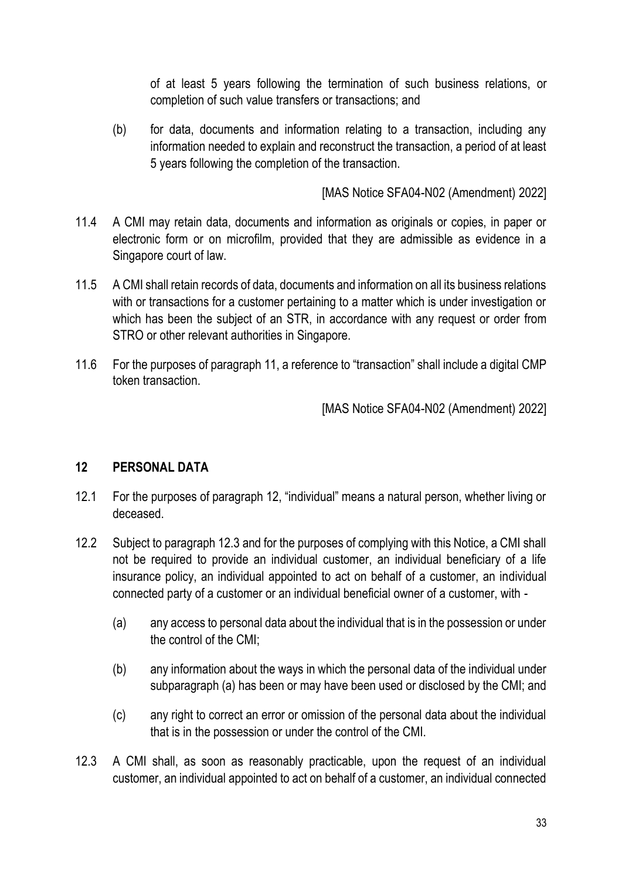of at least 5 years following the termination of such business relations, or completion of such value transfers or transactions; and

(b) for data, documents and information relating to a transaction, including any information needed to explain and reconstruct the transaction, a period of at least 5 years following the completion of the transaction.

[MAS Notice SFA04-N02 (Amendment) 2022]

- 11.4 A CMI may retain data, documents and information as originals or copies, in paper or electronic form or on microfilm, provided that they are admissible as evidence in a Singapore court of law.
- 11.5 A CMI shall retain records of data, documents and information on all its business relations with or transactions for a customer pertaining to a matter which is under investigation or which has been the subject of an STR, in accordance with any request or order from STRO or other relevant authorities in Singapore.
- 11.6 For the purposes of paragraph 11, a reference to "transaction" shall include a digital CMP token transaction.

[MAS Notice SFA04-N02 (Amendment) 2022]

#### **12 PERSONAL DATA**

- 12.1 For the purposes of paragraph 12, "individual" means a natural person, whether living or deceased.
- 12.2 Subject to paragraph 12.3 and for the purposes of complying with this Notice, a CMI shall not be required to provide an individual customer, an individual beneficiary of a life insurance policy, an individual appointed to act on behalf of a customer, an individual connected party of a customer or an individual beneficial owner of a customer, with -
	- (a) any access to personal data about the individual that is in the possession or under the control of the CMI;
	- (b) any information about the ways in which the personal data of the individual under subparagraph (a) has been or may have been used or disclosed by the CMI; and
	- (c) any right to correct an error or omission of the personal data about the individual that is in the possession or under the control of the CMI.
- 12.3 A CMI shall, as soon as reasonably practicable, upon the request of an individual customer, an individual appointed to act on behalf of a customer, an individual connected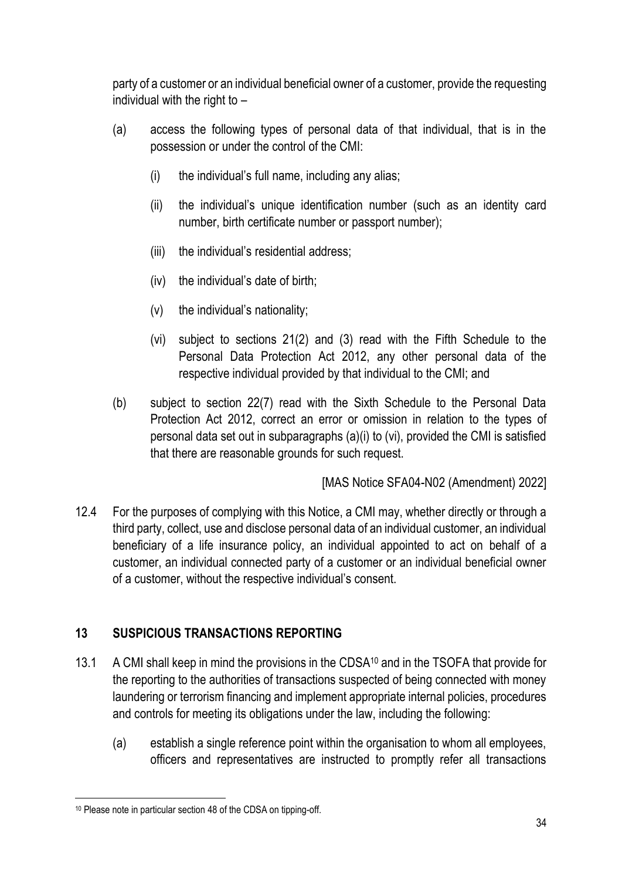party of a customer or an individual beneficial owner of a customer, provide the requesting individual with the right to –

- (a) access the following types of personal data of that individual, that is in the possession or under the control of the CMI:
	- (i) the individual's full name, including any alias;
	- (ii) the individual's unique identification number (such as an identity card number, birth certificate number or passport number);
	- (iii) the individual's residential address;
	- (iv) the individual's date of birth;
	- (v) the individual's nationality;
	- (vi) subject to sections 21(2) and (3) read with the Fifth Schedule to the Personal Data Protection Act 2012, any other personal data of the respective individual provided by that individual to the CMI; and
- (b) subject to section 22(7) read with the Sixth Schedule to the Personal Data Protection Act 2012, correct an error or omission in relation to the types of personal data set out in subparagraphs (a)(i) to (vi), provided the CMI is satisfied that there are reasonable grounds for such request.

[MAS Notice SFA04-N02 (Amendment) 2022]

12.4 For the purposes of complying with this Notice, a CMI may, whether directly or through a third party, collect, use and disclose personal data of an individual customer, an individual beneficiary of a life insurance policy, an individual appointed to act on behalf of a customer, an individual connected party of a customer or an individual beneficial owner of a customer, without the respective individual's consent.

## **13 SUSPICIOUS TRANSACTIONS REPORTING**

- 13.1 A CMI shall keep in mind the provisions in the CDSA<sup>10</sup> and in the TSOFA that provide for the reporting to the authorities of transactions suspected of being connected with money laundering or terrorism financing and implement appropriate internal policies, procedures and controls for meeting its obligations under the law, including the following:
	- (a) establish a single reference point within the organisation to whom all employees, officers and representatives are instructed to promptly refer all transactions

<sup>10</sup> Please note in particular section 48 of the CDSA on tipping-off.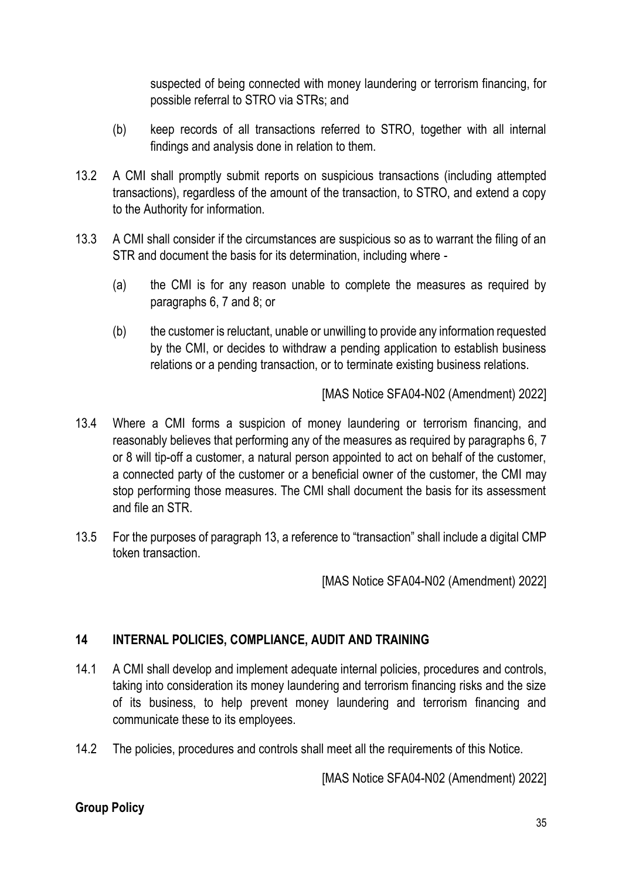suspected of being connected with money laundering or terrorism financing, for possible referral to STRO via STRs; and

- (b) keep records of all transactions referred to STRO, together with all internal findings and analysis done in relation to them.
- 13.2 A CMI shall promptly submit reports on suspicious transactions (including attempted transactions), regardless of the amount of the transaction, to STRO, and extend a copy to the Authority for information.
- 13.3 A CMI shall consider if the circumstances are suspicious so as to warrant the filing of an STR and document the basis for its determination, including where -
	- (a) the CMI is for any reason unable to complete the measures as required by paragraphs 6, 7 and 8; or
	- (b) the customer is reluctant, unable or unwilling to provide any information requested by the CMI, or decides to withdraw a pending application to establish business relations or a pending transaction, or to terminate existing business relations.

[MAS Notice SFA04-N02 (Amendment) 2022]

- 13.4 Where a CMI forms a suspicion of money laundering or terrorism financing, and reasonably believes that performing any of the measures as required by paragraphs 6, 7 or 8 will tip-off a customer, a natural person appointed to act on behalf of the customer, a connected party of the customer or a beneficial owner of the customer, the CMI may stop performing those measures. The CMI shall document the basis for its assessment and file an STR.
- 13.5 For the purposes of paragraph 13, a reference to "transaction" shall include a digital CMP token transaction.

[MAS Notice SFA04-N02 (Amendment) 2022]

## **14 INTERNAL POLICIES, COMPLIANCE, AUDIT AND TRAINING**

- 14.1 A CMI shall develop and implement adequate internal policies, procedures and controls, taking into consideration its money laundering and terrorism financing risks and the size of its business, to help prevent money laundering and terrorism financing and communicate these to its employees.
- 14.2 The policies, procedures and controls shall meet all the requirements of this Notice.

[MAS Notice SFA04-N02 (Amendment) 2022]

#### **Group Policy**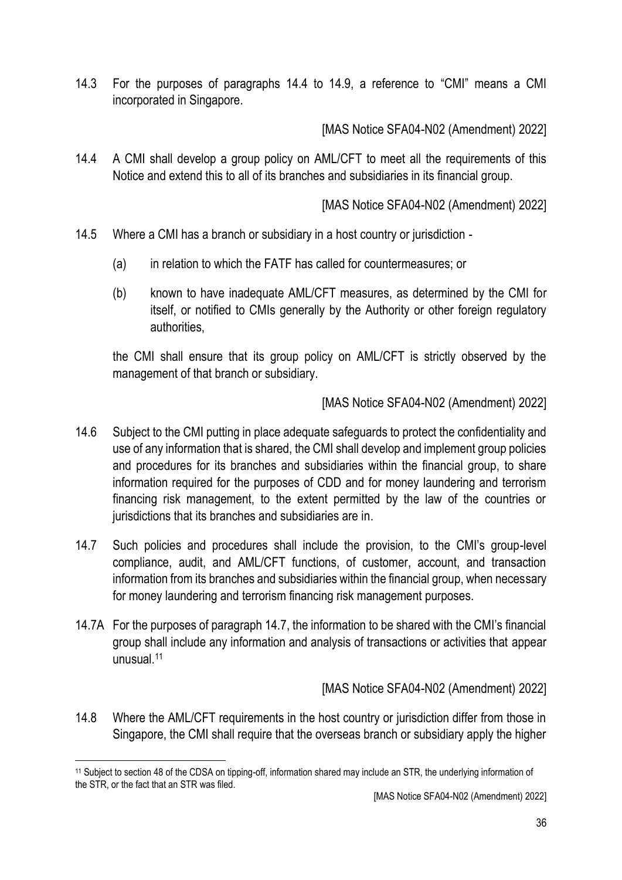14.3 For the purposes of paragraphs 14.4 to 14.9, a reference to "CMI" means a CMI incorporated in Singapore.

[MAS Notice SFA04-N02 (Amendment) 2022]

14.4 A CMI shall develop a group policy on AML/CFT to meet all the requirements of this Notice and extend this to all of its branches and subsidiaries in its financial group.

[MAS Notice SFA04-N02 (Amendment) 2022]

- 14.5 Where a CMI has a branch or subsidiary in a host country or jurisdiction
	- (a) in relation to which the FATF has called for countermeasures; or
	- (b) known to have inadequate AML/CFT measures, as determined by the CMI for itself, or notified to CMIs generally by the Authority or other foreign regulatory authorities,

the CMI shall ensure that its group policy on AML/CFT is strictly observed by the management of that branch or subsidiary.

[MAS Notice SFA04-N02 (Amendment) 2022]

- 14.6 Subject to the CMI putting in place adequate safeguards to protect the confidentiality and use of any information that is shared, the CMI shall develop and implement group policies and procedures for its branches and subsidiaries within the financial group, to share information required for the purposes of CDD and for money laundering and terrorism financing risk management, to the extent permitted by the law of the countries or jurisdictions that its branches and subsidiaries are in.
- 14.7 Such policies and procedures shall include the provision, to the CMI's group-level compliance, audit, and AML/CFT functions, of customer, account, and transaction information from its branches and subsidiaries within the financial group, when necessary for money laundering and terrorism financing risk management purposes.
- 14.7A For the purposes of paragraph 14.7, the information to be shared with the CMI's financial group shall include any information and analysis of transactions or activities that appear unusual.<sup>11</sup>

[MAS Notice SFA04-N02 (Amendment) 2022]

14.8 Where the AML/CFT requirements in the host country or jurisdiction differ from those in Singapore, the CMI shall require that the overseas branch or subsidiary apply the higher

<sup>11</sup> Subject to section 48 of the CDSA on tipping-off, information shared may include an STR, the underlying information of the STR, or the fact that an STR was filed.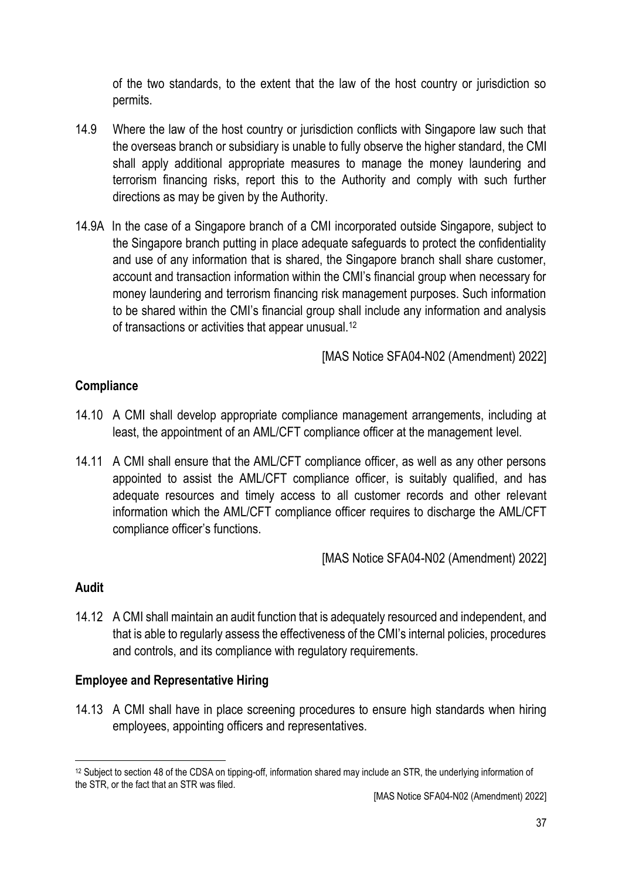of the two standards, to the extent that the law of the host country or jurisdiction so permits.

- 14.9 Where the law of the host country or jurisdiction conflicts with Singapore law such that the overseas branch or subsidiary is unable to fully observe the higher standard, the CMI shall apply additional appropriate measures to manage the money laundering and terrorism financing risks, report this to the Authority and comply with such further directions as may be given by the Authority.
- 14.9A In the case of a Singapore branch of a CMI incorporated outside Singapore, subject to the Singapore branch putting in place adequate safeguards to protect the confidentiality and use of any information that is shared, the Singapore branch shall share customer, account and transaction information within the CMI's financial group when necessary for money laundering and terrorism financing risk management purposes. Such information to be shared within the CMI's financial group shall include any information and analysis of transactions or activities that appear unusual.<sup>12</sup>

[MAS Notice SFA04-N02 (Amendment) 2022]

# **Compliance**

- 14.10 A CMI shall develop appropriate compliance management arrangements, including at least, the appointment of an AML/CFT compliance officer at the management level.
- 14.11 A CMI shall ensure that the AML/CFT compliance officer, as well as any other persons appointed to assist the AML/CFT compliance officer, is suitably qualified, and has adequate resources and timely access to all customer records and other relevant information which the AML/CFT compliance officer requires to discharge the AML/CFT compliance officer's functions.

[MAS Notice SFA04-N02 (Amendment) 2022]

## **Audit**

14.12 A CMI shall maintain an audit function that is adequately resourced and independent, and that is able to regularly assess the effectiveness of the CMI's internal policies, procedures and controls, and its compliance with regulatory requirements.

## **Employee and Representative Hiring**

14.13 A CMI shall have in place screening procedures to ensure high standards when hiring employees, appointing officers and representatives.

<sup>12</sup> Subject to section 48 of the CDSA on tipping-off, information shared may include an STR, the underlying information of the STR, or the fact that an STR was filed.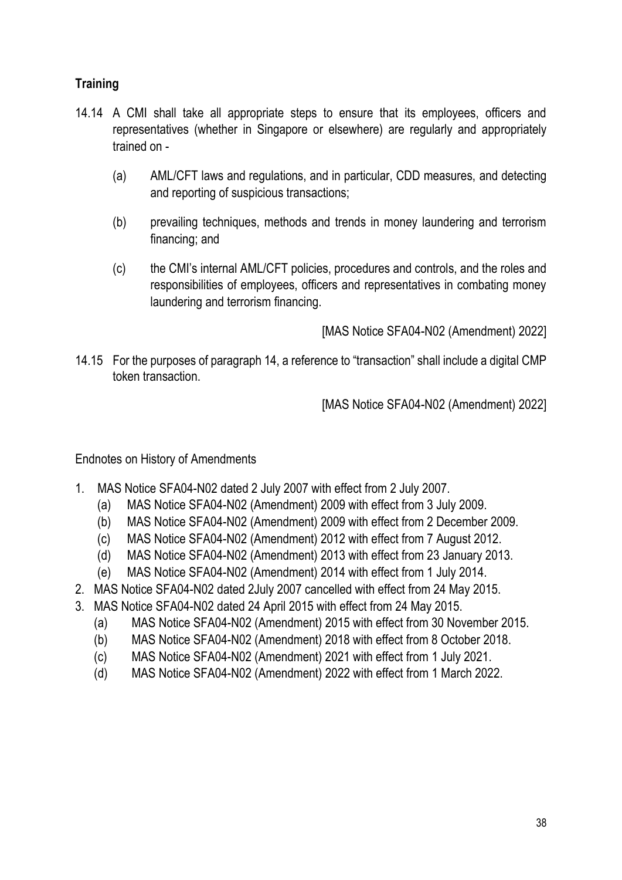# **Training**

- 14.14 A CMI shall take all appropriate steps to ensure that its employees, officers and representatives (whether in Singapore or elsewhere) are regularly and appropriately trained on -
	- (a) AML/CFT laws and regulations, and in particular, CDD measures, and detecting and reporting of suspicious transactions;
	- (b) prevailing techniques, methods and trends in money laundering and terrorism financing; and
	- (c) the CMI's internal AML/CFT policies, procedures and controls, and the roles and responsibilities of employees, officers and representatives in combating money laundering and terrorism financing.

[MAS Notice SFA04-N02 (Amendment) 2022]

14.15 For the purposes of paragraph 14, a reference to "transaction" shall include a digital CMP token transaction.

[MAS Notice SFA04-N02 (Amendment) 2022]

Endnotes on History of Amendments

- 1. MAS Notice SFA04-N02 dated 2 July 2007 with effect from 2 July 2007.
	- (a) MAS Notice SFA04-N02 (Amendment) 2009 with effect from 3 July 2009.
	- (b) MAS Notice SFA04-N02 (Amendment) 2009 with effect from 2 December 2009.
	- (c) MAS Notice SFA04-N02 (Amendment) 2012 with effect from 7 August 2012.
	- (d) MAS Notice SFA04-N02 (Amendment) 2013 with effect from 23 January 2013.
	- (e) MAS Notice SFA04-N02 (Amendment) 2014 with effect from 1 July 2014.
- 2. MAS Notice SFA04-N02 dated 2July 2007 cancelled with effect from 24 May 2015.
- 3. MAS Notice SFA04-N02 dated 24 April 2015 with effect from 24 May 2015.
	- (a) MAS Notice SFA04-N02 (Amendment) 2015 with effect from 30 November 2015.
	- (b) MAS Notice SFA04-N02 (Amendment) 2018 with effect from 8 October 2018.
	- (c) MAS Notice SFA04-N02 (Amendment) 2021 with effect from 1 July 2021.
	- (d) MAS Notice SFA04-N02 (Amendment) 2022 with effect from 1 March 2022.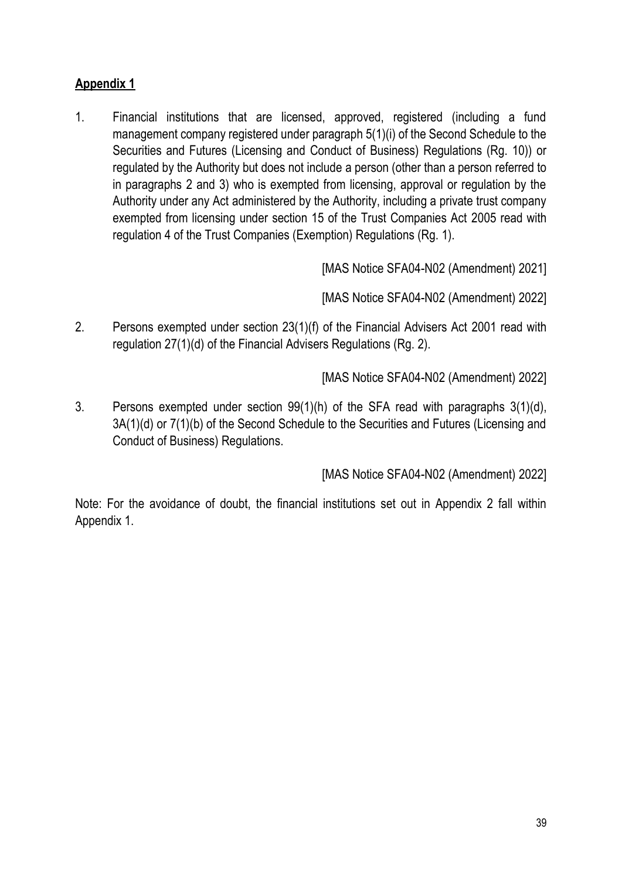# **Appendix 1**

1. Financial institutions that are licensed, approved, registered (including a fund management company registered under paragraph 5(1)(i) of the Second Schedule to the Securities and Futures (Licensing and Conduct of Business) Regulations (Rg. 10)) or regulated by the Authority but does not include a person (other than a person referred to in paragraphs 2 and 3) who is exempted from licensing, approval or regulation by the Authority under any Act administered by the Authority, including a private trust company exempted from licensing under section 15 of the Trust Companies Act 2005 read with regulation 4 of the Trust Companies (Exemption) Regulations (Rg. 1).

[MAS Notice SFA04-N02 (Amendment) 2021]

[MAS Notice SFA04-N02 (Amendment) 2022]

2. Persons exempted under section 23(1)(f) of the Financial Advisers Act 2001 read with regulation 27(1)(d) of the Financial Advisers Regulations (Rg. 2).

[MAS Notice SFA04-N02 (Amendment) 2022]

3. Persons exempted under section 99(1)(h) of the SFA read with paragraphs 3(1)(d), 3A(1)(d) or 7(1)(b) of the Second Schedule to the Securities and Futures (Licensing and Conduct of Business) Regulations.

[MAS Notice SFA04-N02 (Amendment) 2022]

Note: For the avoidance of doubt, the financial institutions set out in Appendix 2 fall within Appendix 1.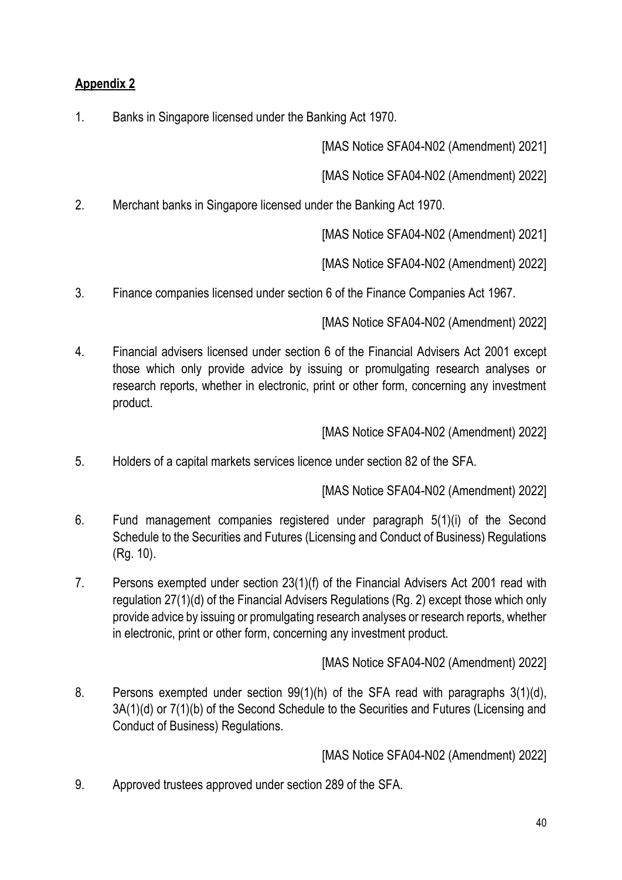# **Appendix 2**

1. Banks in Singapore licensed under the Banking Act 1970.

[MAS Notice SFA04-N02 (Amendment) 2021]

[MAS Notice SFA04-N02 (Amendment) 2022]

2. Merchant banks in Singapore licensed under the Banking Act 1970.

[MAS Notice SFA04-N02 (Amendment) 2021]

[MAS Notice SFA04-N02 (Amendment) 2022]

3. Finance companies licensed under section 6 of the Finance Companies Act 1967.

[MAS Notice SFA04-N02 (Amendment) 2022]

4. Financial advisers licensed under section 6 of the Financial Advisers Act 2001 except those which only provide advice by issuing or promulgating research analyses or research reports, whether in electronic, print or other form, concerning any investment product.

[MAS Notice SFA04-N02 (Amendment) 2022]

5. Holders of a capital markets services licence under section 82 of the SFA.

[MAS Notice SFA04-N02 (Amendment) 2022]

- 6. Fund management companies registered under paragraph 5(1)(i) of the Second Schedule to the Securities and Futures (Licensing and Conduct of Business) Regulations (Rg. 10).
- 7. Persons exempted under section 23(1)(f) of the Financial Advisers Act 2001 read with regulation 27(1)(d) of the Financial Advisers Regulations (Rg. 2) except those which only provide advice by issuing or promulgating research analyses or research reports, whether in electronic, print or other form, concerning any investment product.

[MAS Notice SFA04-N02 (Amendment) 2022]

8. Persons exempted under section 99(1)(h) of the SFA read with paragraphs 3(1)(d), 3A(1)(d) or 7(1)(b) of the Second Schedule to the Securities and Futures (Licensing and Conduct of Business) Regulations.

[MAS Notice SFA04-N02 (Amendment) 2022]

9. Approved trustees approved under section 289 of the SFA.